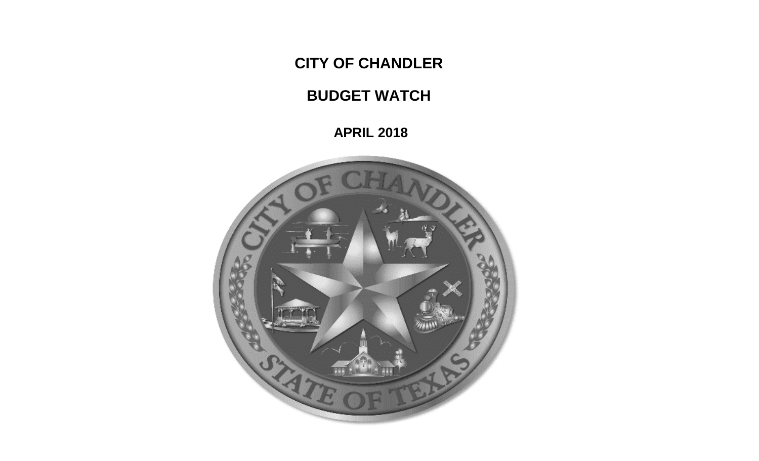**CITY OF CHANDLER**

**BUDGET WATCH**

 **APRIL 2018**

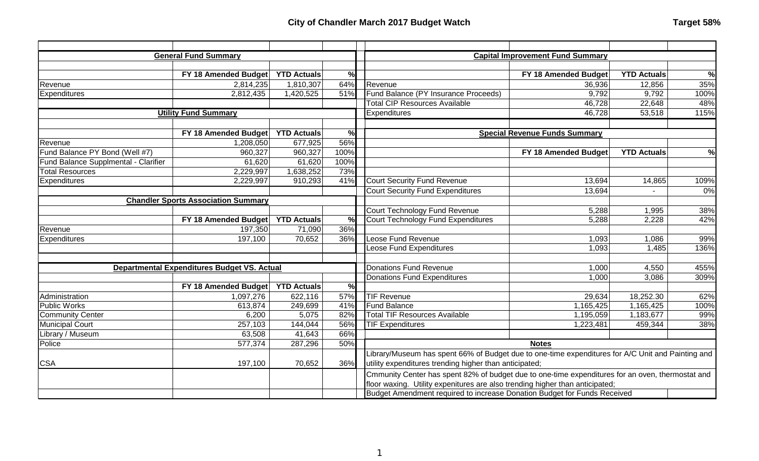|                                            | <b>General Fund Summary</b>                 |                    |                                                                                                  |                                                                                                   | <b>Capital Improvement Fund Summary</b> |                    |      |
|--------------------------------------------|---------------------------------------------|--------------------|--------------------------------------------------------------------------------------------------|---------------------------------------------------------------------------------------------------|-----------------------------------------|--------------------|------|
|                                            |                                             |                    |                                                                                                  |                                                                                                   |                                         |                    |      |
|                                            | FY 18 Amended Budget                        | <b>YTD Actuals</b> | %                                                                                                |                                                                                                   | FY 18 Amended Budget                    | <b>YTD Actuals</b> | %    |
| Revenue                                    | 2,814,235                                   | 1,810,307          | 64%                                                                                              | Revenue                                                                                           | 36,936                                  | 12,856             | 35%  |
| Expenditures                               | 2,812,435                                   | 1,420,525          | 51%                                                                                              | Fund Balance (PY Insurance Proceeds)                                                              | 9,792                                   | 9,792              | 100% |
|                                            |                                             |                    |                                                                                                  | <b>Total CIP Resources Available</b>                                                              | 46,728                                  | 22,648             | 48%  |
|                                            | <b>Utility Fund Summary</b>                 |                    |                                                                                                  | <b>Expenditures</b>                                                                               | 46,728                                  | 53,518             | 115% |
|                                            |                                             |                    |                                                                                                  |                                                                                                   |                                         |                    |      |
|                                            | FY 18 Amended Budget                        | <b>YTD Actuals</b> | %                                                                                                |                                                                                                   | <b>Special Revenue Funds Summary</b>    |                    |      |
| Revenue                                    | 1,208,050                                   | 677,925            | 56%                                                                                              |                                                                                                   |                                         |                    |      |
| Fund Balance PY Bond (Well #7)             | 960,327                                     | 960,327            | 100%                                                                                             |                                                                                                   | FY 18 Amended Budget                    | <b>YTD Actuals</b> | %    |
| Fund Balance Supplmental - Clarifier       | 61,620                                      | 61,620             | 100%                                                                                             |                                                                                                   |                                         |                    |      |
| <b>Total Resources</b>                     | 2,229,997                                   | 1,638,252          | 73%                                                                                              |                                                                                                   |                                         |                    |      |
| Expenditures                               | 2,229,997                                   | 910,293            | 41%                                                                                              | <b>Court Security Fund Revenue</b>                                                                | 13,694                                  | 14,865             | 109% |
|                                            |                                             |                    |                                                                                                  | <b>Court Security Fund Expenditures</b>                                                           | 13,694                                  |                    | 0%   |
| <b>Chandler Sports Association Summary</b> |                                             |                    |                                                                                                  |                                                                                                   |                                         |                    |      |
|                                            |                                             |                    | Court Technology Fund Revenue                                                                    |                                                                                                   | 5,288                                   | 1,995              | 38%  |
|                                            | FY 18 Amended Budget                        | <b>YTD Actuals</b> | $\frac{0}{0}$                                                                                    | Court Technology Fund Expenditures                                                                | 5,288                                   | 2,228              | 42%  |
| Revenue                                    | 197,350                                     | 71,090             | 36%                                                                                              |                                                                                                   |                                         |                    |      |
| Expenditures                               | 197,100                                     | 70,652             | 36%                                                                                              | Leose Fund Revenue                                                                                | 1,093                                   | 1,086              | 99%  |
|                                            |                                             |                    |                                                                                                  | Leose Fund Expenditures                                                                           | 1,093                                   | 1,485              | 136% |
|                                            |                                             |                    |                                                                                                  |                                                                                                   |                                         |                    |      |
|                                            | Departmental Expenditures Budget VS. Actual |                    |                                                                                                  | Donations Fund Revenue                                                                            | 1,000                                   | 4,550              | 455% |
|                                            |                                             |                    |                                                                                                  | Donations Fund Expenditures                                                                       | 1,000                                   | 3,086              | 309% |
|                                            | FY 18 Amended Budget                        | <b>YTD Actuals</b> | %                                                                                                |                                                                                                   |                                         |                    |      |
| Administration                             | 1,097,276                                   | 622,116            | 57%                                                                                              | <b>TIF Revenue</b>                                                                                | 29,634                                  | 18,252.30          | 62%  |
| <b>Public Works</b>                        | 613,874                                     | 249,699            | 41%                                                                                              | <b>Fund Balance</b>                                                                               | 1,165,425                               | 1,165,425          | 100% |
| <b>Community Center</b>                    | 6,200                                       | 5,075              | 82%                                                                                              | <b>Total TIF Resources Available</b>                                                              | 1,195,059                               | 1,183,677          | 99%  |
| <b>Municipal Court</b>                     | 257,103                                     | 144,044            | 56%                                                                                              | <b>TIF Expenditures</b>                                                                           | 1,223,481                               | 459,344            | 38%  |
| Library / Museum                           | 63,508                                      | 41,643             | 66%                                                                                              |                                                                                                   |                                         |                    |      |
| Police                                     | 577,374                                     | 287,296            | 50%                                                                                              |                                                                                                   | <b>Notes</b>                            |                    |      |
|                                            |                                             |                    |                                                                                                  | Library/Museum has spent 66% of Budget due to one-time expenditures for A/C Unit and Painting and |                                         |                    |      |
| <b>CSA</b>                                 | 197,100                                     | 70,652             | 36%                                                                                              | utility expenditures trending higher than anticipated;                                            |                                         |                    |      |
|                                            |                                             |                    | Cmmunity Center has spent 82% of budget due to one-time expenditures for an oven, thermostat and |                                                                                                   |                                         |                    |      |
|                                            |                                             |                    |                                                                                                  | floor waxing. Utility expenitures are also trending higher than anticipated;                      |                                         |                    |      |
|                                            |                                             |                    |                                                                                                  | Budget Amendment required to increase Donation Budget for Funds Received                          |                                         |                    |      |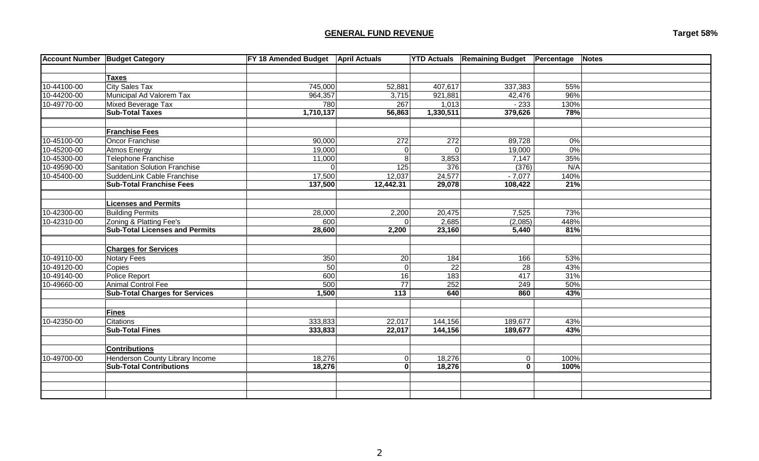# **GENERAL FUND REVENUE Target 58%**

| <b>Taxes</b><br><b>City Sales Tax</b><br>10-44100-00<br>745,000<br>55%<br>52,881<br>407,617<br>337,383<br>10-44200-00<br>Municipal Ad Valorem Tax<br>964,357<br>96%<br>921,881<br>42,476<br>3,715<br>10-49770-00<br>Mixed Beverage Tax<br>$-233$<br>780<br>267<br>1,013<br>130%<br>1,710,137<br>379,626<br>78%<br><b>Sub-Total Taxes</b><br>56,863<br>1,330,511<br><b>Franchise Fees</b><br>10-45100-00<br>Oncor Franchise<br>90,000<br>272<br>272<br>0%<br>89,728<br>10-45200-00<br>Atmos Energy<br>19,000<br>0%<br>$\Omega$<br>$\Omega$<br>19,000<br>10-45300-00<br>Telephone Franchise<br>35%<br>11,000<br>8<br>3,853<br>7,147<br>10-49590-00<br>Sanitation Solution Franchise<br>N/A<br>125<br>376<br>(376)<br>$\Omega$<br>17,500<br>10-45400-00<br>SuddenLink Cable Franchise<br>12,037<br>24,577<br>140%<br>$-7,077$<br>137,500<br>29,078<br><b>Sub-Total Franchise Fees</b><br>12,442.31<br>108,422<br>21%<br><b>Licenses and Permits</b><br>10-42300-00<br><b>Building Permits</b><br>73%<br>28,000<br>2,200<br>20,475<br>7,525<br>2,685<br>10-42310-00<br>Zoning & Platting Fee's<br>600<br>(2,085)<br>448%<br>$\Omega$<br><b>Sub-Total Licenses and Permits</b><br>81%<br>28,600<br>2,200<br>23,160<br>5,440<br><b>Charges for Services</b><br>10-49110-00<br>Notary Fees<br>350<br>20<br>184<br>166<br>53%<br>$\overline{22}$<br>43%<br>10-49120-00<br>Copies<br>50<br>$\overline{0}$<br>28<br>10-49140-00<br>31%<br>Police Report<br>600<br>16<br>$\frac{1}{183}$<br>417<br><b>Animal Control Fee</b><br>$\overline{77}$<br>50%<br>10-49660-00<br>500<br>252<br>249<br><b>Sub-Total Charges for Services</b><br>1,500<br>113<br>640<br>43%<br>860<br><b>Fines</b><br>10-42350-00<br>Citations<br>333,833<br>22,017<br>144,156<br>189,677<br>43%<br><b>Sub-Total Fines</b><br>333,833<br>22,017<br>144,156<br>43%<br>189,677<br><b>Contributions</b><br>Henderson County Library Income<br>10-49700-00<br>18,276<br>18,276<br>$\pmb{0}$<br>100%<br>$\overline{0}$<br>18,276<br>$\overline{\mathbf{0}}$<br><b>Sub-Total Contributions</b><br>18,276<br>$\mathbf 0$<br>100% | <b>Account Number Budget Category</b> | FY 18 Amended Budget April Actuals |  | <b>YTD Actuals Remaining Budget</b> | Percentage | Notes |
|--------------------------------------------------------------------------------------------------------------------------------------------------------------------------------------------------------------------------------------------------------------------------------------------------------------------------------------------------------------------------------------------------------------------------------------------------------------------------------------------------------------------------------------------------------------------------------------------------------------------------------------------------------------------------------------------------------------------------------------------------------------------------------------------------------------------------------------------------------------------------------------------------------------------------------------------------------------------------------------------------------------------------------------------------------------------------------------------------------------------------------------------------------------------------------------------------------------------------------------------------------------------------------------------------------------------------------------------------------------------------------------------------------------------------------------------------------------------------------------------------------------------------------------------------------------------------------------------------------------------------------------------------------------------------------------------------------------------------------------------------------------------------------------------------------------------------------------------------------------------------------------------------------------------------------------------------------------------------------------------------------------------------------------------------------------------------------------|---------------------------------------|------------------------------------|--|-------------------------------------|------------|-------|
|                                                                                                                                                                                                                                                                                                                                                                                                                                                                                                                                                                                                                                                                                                                                                                                                                                                                                                                                                                                                                                                                                                                                                                                                                                                                                                                                                                                                                                                                                                                                                                                                                                                                                                                                                                                                                                                                                                                                                                                                                                                                                      |                                       |                                    |  |                                     |            |       |
|                                                                                                                                                                                                                                                                                                                                                                                                                                                                                                                                                                                                                                                                                                                                                                                                                                                                                                                                                                                                                                                                                                                                                                                                                                                                                                                                                                                                                                                                                                                                                                                                                                                                                                                                                                                                                                                                                                                                                                                                                                                                                      |                                       |                                    |  |                                     |            |       |
|                                                                                                                                                                                                                                                                                                                                                                                                                                                                                                                                                                                                                                                                                                                                                                                                                                                                                                                                                                                                                                                                                                                                                                                                                                                                                                                                                                                                                                                                                                                                                                                                                                                                                                                                                                                                                                                                                                                                                                                                                                                                                      |                                       |                                    |  |                                     |            |       |
|                                                                                                                                                                                                                                                                                                                                                                                                                                                                                                                                                                                                                                                                                                                                                                                                                                                                                                                                                                                                                                                                                                                                                                                                                                                                                                                                                                                                                                                                                                                                                                                                                                                                                                                                                                                                                                                                                                                                                                                                                                                                                      |                                       |                                    |  |                                     |            |       |
|                                                                                                                                                                                                                                                                                                                                                                                                                                                                                                                                                                                                                                                                                                                                                                                                                                                                                                                                                                                                                                                                                                                                                                                                                                                                                                                                                                                                                                                                                                                                                                                                                                                                                                                                                                                                                                                                                                                                                                                                                                                                                      |                                       |                                    |  |                                     |            |       |
|                                                                                                                                                                                                                                                                                                                                                                                                                                                                                                                                                                                                                                                                                                                                                                                                                                                                                                                                                                                                                                                                                                                                                                                                                                                                                                                                                                                                                                                                                                                                                                                                                                                                                                                                                                                                                                                                                                                                                                                                                                                                                      |                                       |                                    |  |                                     |            |       |
|                                                                                                                                                                                                                                                                                                                                                                                                                                                                                                                                                                                                                                                                                                                                                                                                                                                                                                                                                                                                                                                                                                                                                                                                                                                                                                                                                                                                                                                                                                                                                                                                                                                                                                                                                                                                                                                                                                                                                                                                                                                                                      |                                       |                                    |  |                                     |            |       |
|                                                                                                                                                                                                                                                                                                                                                                                                                                                                                                                                                                                                                                                                                                                                                                                                                                                                                                                                                                                                                                                                                                                                                                                                                                                                                                                                                                                                                                                                                                                                                                                                                                                                                                                                                                                                                                                                                                                                                                                                                                                                                      |                                       |                                    |  |                                     |            |       |
|                                                                                                                                                                                                                                                                                                                                                                                                                                                                                                                                                                                                                                                                                                                                                                                                                                                                                                                                                                                                                                                                                                                                                                                                                                                                                                                                                                                                                                                                                                                                                                                                                                                                                                                                                                                                                                                                                                                                                                                                                                                                                      |                                       |                                    |  |                                     |            |       |
|                                                                                                                                                                                                                                                                                                                                                                                                                                                                                                                                                                                                                                                                                                                                                                                                                                                                                                                                                                                                                                                                                                                                                                                                                                                                                                                                                                                                                                                                                                                                                                                                                                                                                                                                                                                                                                                                                                                                                                                                                                                                                      |                                       |                                    |  |                                     |            |       |
|                                                                                                                                                                                                                                                                                                                                                                                                                                                                                                                                                                                                                                                                                                                                                                                                                                                                                                                                                                                                                                                                                                                                                                                                                                                                                                                                                                                                                                                                                                                                                                                                                                                                                                                                                                                                                                                                                                                                                                                                                                                                                      |                                       |                                    |  |                                     |            |       |
|                                                                                                                                                                                                                                                                                                                                                                                                                                                                                                                                                                                                                                                                                                                                                                                                                                                                                                                                                                                                                                                                                                                                                                                                                                                                                                                                                                                                                                                                                                                                                                                                                                                                                                                                                                                                                                                                                                                                                                                                                                                                                      |                                       |                                    |  |                                     |            |       |
|                                                                                                                                                                                                                                                                                                                                                                                                                                                                                                                                                                                                                                                                                                                                                                                                                                                                                                                                                                                                                                                                                                                                                                                                                                                                                                                                                                                                                                                                                                                                                                                                                                                                                                                                                                                                                                                                                                                                                                                                                                                                                      |                                       |                                    |  |                                     |            |       |
|                                                                                                                                                                                                                                                                                                                                                                                                                                                                                                                                                                                                                                                                                                                                                                                                                                                                                                                                                                                                                                                                                                                                                                                                                                                                                                                                                                                                                                                                                                                                                                                                                                                                                                                                                                                                                                                                                                                                                                                                                                                                                      |                                       |                                    |  |                                     |            |       |
|                                                                                                                                                                                                                                                                                                                                                                                                                                                                                                                                                                                                                                                                                                                                                                                                                                                                                                                                                                                                                                                                                                                                                                                                                                                                                                                                                                                                                                                                                                                                                                                                                                                                                                                                                                                                                                                                                                                                                                                                                                                                                      |                                       |                                    |  |                                     |            |       |
|                                                                                                                                                                                                                                                                                                                                                                                                                                                                                                                                                                                                                                                                                                                                                                                                                                                                                                                                                                                                                                                                                                                                                                                                                                                                                                                                                                                                                                                                                                                                                                                                                                                                                                                                                                                                                                                                                                                                                                                                                                                                                      |                                       |                                    |  |                                     |            |       |
|                                                                                                                                                                                                                                                                                                                                                                                                                                                                                                                                                                                                                                                                                                                                                                                                                                                                                                                                                                                                                                                                                                                                                                                                                                                                                                                                                                                                                                                                                                                                                                                                                                                                                                                                                                                                                                                                                                                                                                                                                                                                                      |                                       |                                    |  |                                     |            |       |
|                                                                                                                                                                                                                                                                                                                                                                                                                                                                                                                                                                                                                                                                                                                                                                                                                                                                                                                                                                                                                                                                                                                                                                                                                                                                                                                                                                                                                                                                                                                                                                                                                                                                                                                                                                                                                                                                                                                                                                                                                                                                                      |                                       |                                    |  |                                     |            |       |
|                                                                                                                                                                                                                                                                                                                                                                                                                                                                                                                                                                                                                                                                                                                                                                                                                                                                                                                                                                                                                                                                                                                                                                                                                                                                                                                                                                                                                                                                                                                                                                                                                                                                                                                                                                                                                                                                                                                                                                                                                                                                                      |                                       |                                    |  |                                     |            |       |
|                                                                                                                                                                                                                                                                                                                                                                                                                                                                                                                                                                                                                                                                                                                                                                                                                                                                                                                                                                                                                                                                                                                                                                                                                                                                                                                                                                                                                                                                                                                                                                                                                                                                                                                                                                                                                                                                                                                                                                                                                                                                                      |                                       |                                    |  |                                     |            |       |
|                                                                                                                                                                                                                                                                                                                                                                                                                                                                                                                                                                                                                                                                                                                                                                                                                                                                                                                                                                                                                                                                                                                                                                                                                                                                                                                                                                                                                                                                                                                                                                                                                                                                                                                                                                                                                                                                                                                                                                                                                                                                                      |                                       |                                    |  |                                     |            |       |
|                                                                                                                                                                                                                                                                                                                                                                                                                                                                                                                                                                                                                                                                                                                                                                                                                                                                                                                                                                                                                                                                                                                                                                                                                                                                                                                                                                                                                                                                                                                                                                                                                                                                                                                                                                                                                                                                                                                                                                                                                                                                                      |                                       |                                    |  |                                     |            |       |
|                                                                                                                                                                                                                                                                                                                                                                                                                                                                                                                                                                                                                                                                                                                                                                                                                                                                                                                                                                                                                                                                                                                                                                                                                                                                                                                                                                                                                                                                                                                                                                                                                                                                                                                                                                                                                                                                                                                                                                                                                                                                                      |                                       |                                    |  |                                     |            |       |
|                                                                                                                                                                                                                                                                                                                                                                                                                                                                                                                                                                                                                                                                                                                                                                                                                                                                                                                                                                                                                                                                                                                                                                                                                                                                                                                                                                                                                                                                                                                                                                                                                                                                                                                                                                                                                                                                                                                                                                                                                                                                                      |                                       |                                    |  |                                     |            |       |
|                                                                                                                                                                                                                                                                                                                                                                                                                                                                                                                                                                                                                                                                                                                                                                                                                                                                                                                                                                                                                                                                                                                                                                                                                                                                                                                                                                                                                                                                                                                                                                                                                                                                                                                                                                                                                                                                                                                                                                                                                                                                                      |                                       |                                    |  |                                     |            |       |
|                                                                                                                                                                                                                                                                                                                                                                                                                                                                                                                                                                                                                                                                                                                                                                                                                                                                                                                                                                                                                                                                                                                                                                                                                                                                                                                                                                                                                                                                                                                                                                                                                                                                                                                                                                                                                                                                                                                                                                                                                                                                                      |                                       |                                    |  |                                     |            |       |
|                                                                                                                                                                                                                                                                                                                                                                                                                                                                                                                                                                                                                                                                                                                                                                                                                                                                                                                                                                                                                                                                                                                                                                                                                                                                                                                                                                                                                                                                                                                                                                                                                                                                                                                                                                                                                                                                                                                                                                                                                                                                                      |                                       |                                    |  |                                     |            |       |
|                                                                                                                                                                                                                                                                                                                                                                                                                                                                                                                                                                                                                                                                                                                                                                                                                                                                                                                                                                                                                                                                                                                                                                                                                                                                                                                                                                                                                                                                                                                                                                                                                                                                                                                                                                                                                                                                                                                                                                                                                                                                                      |                                       |                                    |  |                                     |            |       |
|                                                                                                                                                                                                                                                                                                                                                                                                                                                                                                                                                                                                                                                                                                                                                                                                                                                                                                                                                                                                                                                                                                                                                                                                                                                                                                                                                                                                                                                                                                                                                                                                                                                                                                                                                                                                                                                                                                                                                                                                                                                                                      |                                       |                                    |  |                                     |            |       |
|                                                                                                                                                                                                                                                                                                                                                                                                                                                                                                                                                                                                                                                                                                                                                                                                                                                                                                                                                                                                                                                                                                                                                                                                                                                                                                                                                                                                                                                                                                                                                                                                                                                                                                                                                                                                                                                                                                                                                                                                                                                                                      |                                       |                                    |  |                                     |            |       |
|                                                                                                                                                                                                                                                                                                                                                                                                                                                                                                                                                                                                                                                                                                                                                                                                                                                                                                                                                                                                                                                                                                                                                                                                                                                                                                                                                                                                                                                                                                                                                                                                                                                                                                                                                                                                                                                                                                                                                                                                                                                                                      |                                       |                                    |  |                                     |            |       |
|                                                                                                                                                                                                                                                                                                                                                                                                                                                                                                                                                                                                                                                                                                                                                                                                                                                                                                                                                                                                                                                                                                                                                                                                                                                                                                                                                                                                                                                                                                                                                                                                                                                                                                                                                                                                                                                                                                                                                                                                                                                                                      |                                       |                                    |  |                                     |            |       |
|                                                                                                                                                                                                                                                                                                                                                                                                                                                                                                                                                                                                                                                                                                                                                                                                                                                                                                                                                                                                                                                                                                                                                                                                                                                                                                                                                                                                                                                                                                                                                                                                                                                                                                                                                                                                                                                                                                                                                                                                                                                                                      |                                       |                                    |  |                                     |            |       |
|                                                                                                                                                                                                                                                                                                                                                                                                                                                                                                                                                                                                                                                                                                                                                                                                                                                                                                                                                                                                                                                                                                                                                                                                                                                                                                                                                                                                                                                                                                                                                                                                                                                                                                                                                                                                                                                                                                                                                                                                                                                                                      |                                       |                                    |  |                                     |            |       |
|                                                                                                                                                                                                                                                                                                                                                                                                                                                                                                                                                                                                                                                                                                                                                                                                                                                                                                                                                                                                                                                                                                                                                                                                                                                                                                                                                                                                                                                                                                                                                                                                                                                                                                                                                                                                                                                                                                                                                                                                                                                                                      |                                       |                                    |  |                                     |            |       |
|                                                                                                                                                                                                                                                                                                                                                                                                                                                                                                                                                                                                                                                                                                                                                                                                                                                                                                                                                                                                                                                                                                                                                                                                                                                                                                                                                                                                                                                                                                                                                                                                                                                                                                                                                                                                                                                                                                                                                                                                                                                                                      |                                       |                                    |  |                                     |            |       |
|                                                                                                                                                                                                                                                                                                                                                                                                                                                                                                                                                                                                                                                                                                                                                                                                                                                                                                                                                                                                                                                                                                                                                                                                                                                                                                                                                                                                                                                                                                                                                                                                                                                                                                                                                                                                                                                                                                                                                                                                                                                                                      |                                       |                                    |  |                                     |            |       |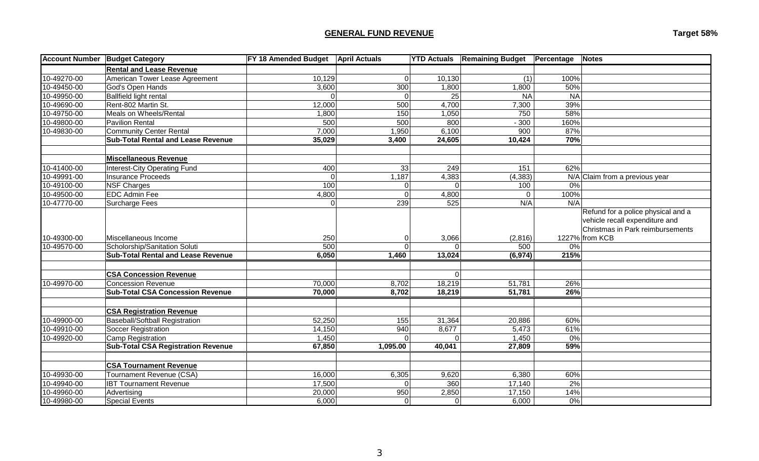# **GENERAL FUND REVENUE Target 58%**

|             | <b>Account Number Budget Category</b>     | FY 18 Amended Budget April Actuals |                | <b>YTD Actuals</b> | <b>Remaining Budget</b> | <b>Percentage</b> | <b>Notes</b>                       |
|-------------|-------------------------------------------|------------------------------------|----------------|--------------------|-------------------------|-------------------|------------------------------------|
|             | <b>Rental and Lease Revenue</b>           |                                    |                |                    |                         |                   |                                    |
| 10-49270-00 | American Tower Lease Agreement            | 10,129                             | $\Omega$       | 10,130             | (1)                     | 100%              |                                    |
| 10-49450-00 | God's Open Hands                          | 3,600                              | 300            | 1,800              | 1,800                   | 50%               |                                    |
| 10-49950-00 | <b>Ballfield light rental</b>             | $\Omega$                           | $\Omega$       | 25                 | <b>NA</b>               | <b>NA</b>         |                                    |
| 10-49690-00 | Rent-802 Martin St.                       | 12,000                             | 500            | 4,700              | 7,300                   | 39%               |                                    |
| 10-49750-00 | Meals on Wheels/Rental                    | 1,800                              | 150            | 1,050              | 750                     | 58%               |                                    |
| 10-49800-00 | <b>Pavilion Rental</b>                    | 500                                | 500            | 800                | $-300$                  | 160%              |                                    |
| 10-49830-00 | <b>Community Center Rental</b>            | 7,000                              | 1,950          | 6,100              | 900                     | 87%               |                                    |
|             | <b>Sub-Total Rental and Lease Revenue</b> | 35,029                             | 3,400          | 24,605             | 10,424                  | 70%               |                                    |
|             |                                           |                                    |                |                    |                         |                   |                                    |
|             | <b>Miscellaneous Revenue</b>              |                                    |                |                    |                         |                   |                                    |
| 10-41400-00 | Interest-City Operating Fund              | 400                                | 33             | 249                | 151                     | 62%               |                                    |
| 10-49991-00 | <b>Insurance Proceeds</b>                 | $\mathbf 0$                        | 1,187          | 4,383              | (4, 383)                |                   | N/A Claim from a previous year     |
| 10-49100-00 | <b>NSF Charges</b>                        | 100                                | $\Omega$       | Ωl                 | 100                     | $0\%$             |                                    |
| 10-49500-00 | <b>EDC Admin Fee</b>                      | 4,800                              | $\Omega$       | 4,800              | $\Omega$                | 100%              |                                    |
| 10-47770-00 | Surcharge Fees                            | $\Omega$                           | 239            | 525                | N/A                     | N/A               |                                    |
|             |                                           |                                    |                |                    |                         |                   | Refund for a police physical and a |
|             |                                           |                                    |                |                    |                         |                   | vehicle recall expenditure and     |
|             |                                           |                                    |                |                    |                         |                   | Christmas in Park reimbursements   |
| 10-49300-00 | Miscellaneous Income                      | 250                                | $\overline{0}$ | 3,066              | (2,816)                 |                   | 1227% from KCB                     |
| 10-49570-00 | Scholorship/Sanitation Soluti             | 500                                | $\Omega$       | $\Omega$           | 500                     | $0\%$             |                                    |
|             | <b>Sub-Total Rental and Lease Revenue</b> | 6,050                              | 1,460          | 13,024             | (6, 974)                | 215%              |                                    |
|             |                                           |                                    |                |                    |                         |                   |                                    |
|             | <b>CSA Concession Revenue</b>             |                                    |                | $\Omega$           |                         |                   |                                    |
| 10-49970-00 | <b>Concession Revenue</b>                 | 70,000                             | 8,702          | 18,219             | 51,781                  | 26%               |                                    |
|             | <b>Sub-Total CSA Concession Revenue</b>   | 70,000                             | 8,702          | 18,219             | 51,781                  | 26%               |                                    |
|             |                                           |                                    |                |                    |                         |                   |                                    |
|             | <b>CSA Registration Revenue</b>           |                                    |                |                    |                         |                   |                                    |
| 10-49900-00 | Baseball/Softball Registration            | 52,250                             | 155            | 31,364             | 20,886                  | 60%               |                                    |
| 10-49910-00 | Soccer Registration                       | 14,150                             | 940            | 8,677              | 5,473                   | 61%               |                                    |
| 10-49920-00 | Camp Registration                         | 1,450                              | $\Omega$       | $\mathbf 0$        | 1,450                   | 0%                |                                    |
|             | <b>Sub-Total CSA Registration Revenue</b> | 67,850                             | 1,095.00       | 40,041             | 27,809                  | 59%               |                                    |
|             |                                           |                                    |                |                    |                         |                   |                                    |
|             | <b>CSA Tournament Revenue</b>             |                                    |                |                    |                         |                   |                                    |
| 10-49930-00 | Tournament Revenue (CSA)                  | 16,000                             | 6,305          | 9,620              | 6,380                   | 60%               |                                    |
| 10-49940-00 | <b>IBT Tournament Revenue</b>             | 17,500                             | $\Omega$       | 360                | 17,140                  | 2%                |                                    |
| 10-49960-00 | Advertising                               | 20,000                             | 950            | 2,850              | 17,150                  | 14%               |                                    |
| 10-49980-00 | <b>Special Events</b>                     | 6,000                              | $\overline{0}$ | 0                  | 6,000                   | 0%                |                                    |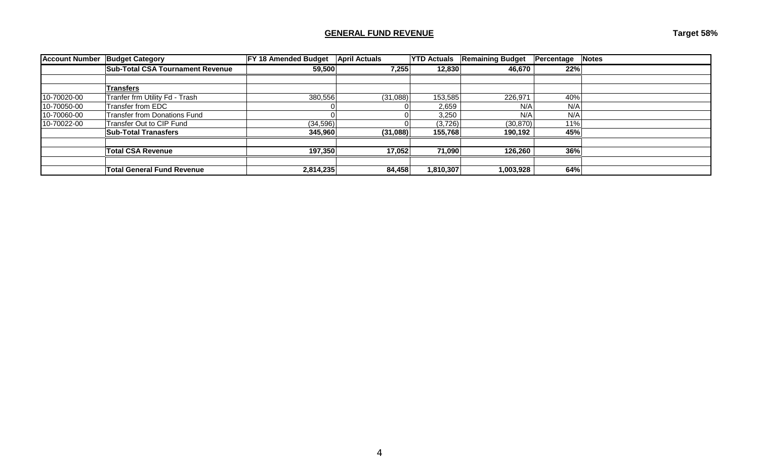# **GENERAL FUND REVENUE Target 58%**

| <b>Account Number</b> | <b>Budget Category</b>                  | FY 18 Amended Budget | <b>April Actuals</b> | <b>YTD Actuals</b> | <b>Remaining Budget</b> | Percentage | Notes |
|-----------------------|-----------------------------------------|----------------------|----------------------|--------------------|-------------------------|------------|-------|
|                       | <b>Sub-Total CSA Tournament Revenue</b> | 59,500               | 7,255                | 12,830             | 46,670                  | 22%        |       |
|                       |                                         |                      |                      |                    |                         |            |       |
|                       | Transfers                               |                      |                      |                    |                         |            |       |
| 10-70020-00           | Tranfer frm Utility Fd - Trash          | 380,556              | (31,088)             | 153,585            | 226,971                 | 40%        |       |
| 10-70050-00           | Transfer from EDC                       |                      |                      | 2,659              | N/A                     | N/A        |       |
| 10-70060-00           | <b>Transfer from Donations Fund</b>     |                      |                      | 3,250              | N/A                     | N/A        |       |
| 10-70022-00           | Transfer Out to CIP Fund                | (34,596)             |                      | (3,726)            | (30, 870)               | 11%        |       |
|                       | <b>Sub-Total Tranasfers</b>             | 345,960              | (31,088)             | 155,768            | 190,192                 | 45%        |       |
|                       |                                         |                      |                      |                    |                         |            |       |
|                       | <b>Total CSA Revenue</b>                | 197,350              | 17,052               | 71,090             | 126,260                 | 36%        |       |
|                       |                                         |                      |                      |                    |                         |            |       |
|                       | <b>Total General Fund Revenue</b>       | 2,814,235            | 84,458               | 1,810,307          | 1,003,928               | 64%        |       |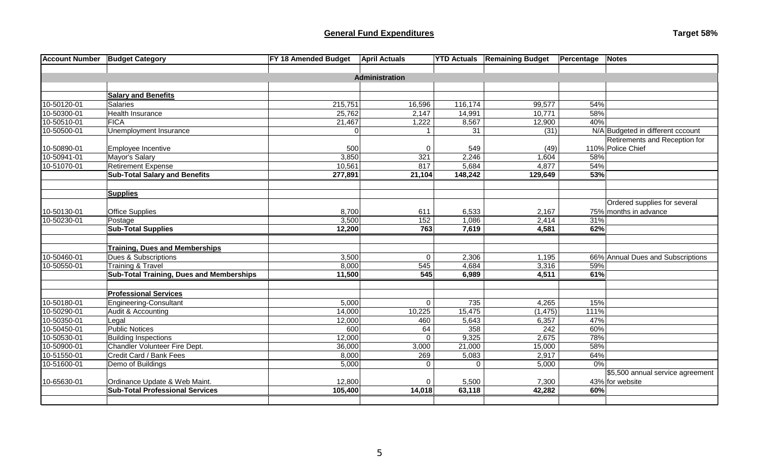| <b>Account Number</b> | <b>Budget Category</b>                          | FY 18 Amended Budget | <b>April Actuals</b>  | <b>YTD Actuals</b> | <b>Remaining Budget</b> | <b>Percentage Notes</b> |                                   |
|-----------------------|-------------------------------------------------|----------------------|-----------------------|--------------------|-------------------------|-------------------------|-----------------------------------|
|                       |                                                 |                      |                       |                    |                         |                         |                                   |
|                       |                                                 |                      | <b>Administration</b> |                    |                         |                         |                                   |
|                       |                                                 |                      |                       |                    |                         |                         |                                   |
|                       | <b>Salary and Benefits</b>                      |                      |                       |                    |                         |                         |                                   |
| 10-50120-01           | <b>Salaries</b>                                 | 215,751              | 16,596                | 116,174            | 99,577                  | 54%                     |                                   |
| 10-50300-01           | <b>Health Insurance</b>                         | 25,762               | 2,147                 | 14,991             | 10,771                  | 58%                     |                                   |
| 10-50510-01           | <b>FICA</b>                                     | 21,467               | 1,222                 | 8,567              | 12,900                  | 40%                     |                                   |
| 10-50500-01           | Unemployment Insurance                          | $\Omega$             |                       | 31                 | (31)                    |                         | N/A Budgeted in different cccount |
|                       |                                                 |                      |                       |                    |                         |                         | Retirements and Reception for     |
| 10-50890-01           | Employee Incentive                              | 500                  | $\mathbf 0$           | 549                | (49)                    |                         | 110% Police Chief                 |
| 10-50941-01           | Mayor's Salary                                  | 3,850                | 321                   | 2,246              | 1,604                   | 58%                     |                                   |
| 10-51070-01           | <b>Retirement Expense</b>                       | 10,561               | 817                   | 5,684              | 4,877                   | 54%                     |                                   |
|                       | <b>Sub-Total Salary and Benefits</b>            | 277,891              | 21,104                | 148,242            | 129,649                 | 53%                     |                                   |
|                       |                                                 |                      |                       |                    |                         |                         |                                   |
|                       | <b>Supplies</b>                                 |                      |                       |                    |                         |                         |                                   |
|                       |                                                 |                      |                       |                    |                         |                         | Ordered supplies for several      |
| 10-50130-01           | <b>Office Supplies</b>                          | 8,700                | 611                   | 6,533              | 2,167                   |                         | 75% months in advance             |
| 10-50230-01           | Postage                                         | 3,500                | 152                   | 1,086              | 2,414                   | 31%                     |                                   |
|                       | <b>Sub-Total Supplies</b>                       | 12,200               | 763                   | 7,619              | 4,581                   | 62%                     |                                   |
|                       |                                                 |                      |                       |                    |                         |                         |                                   |
|                       | <b>Training, Dues and Memberships</b>           |                      |                       |                    |                         |                         |                                   |
| 10-50460-01           | Dues & Subscriptions                            | 3,500                | $\mathbf 0$           | 2,306              | 1,195                   |                         | 66% Annual Dues and Subscriptions |
| 10-50550-01           | <b>Training &amp; Travel</b>                    | 8,000                | 545                   | 4,684              | 3,316                   | 59%                     |                                   |
|                       | <b>Sub-Total Training, Dues and Memberships</b> | 11,500               | 545                   | 6,989              | 4,511                   | 61%                     |                                   |
|                       |                                                 |                      |                       |                    |                         |                         |                                   |
|                       | <b>Professional Services</b>                    |                      |                       |                    |                         |                         |                                   |
| 10-50180-01           | <b>Engineering-Consultant</b>                   | 5,000                | $\mathbf 0$           | 735                | 4,265                   | 15%                     |                                   |
| 10-50290-01           | Audit & Accounting                              | 14,000               | 10,225                | 15,475             | (1, 475)                | 111%                    |                                   |
| 10-50350-01           | Legal                                           | 12,000               | 460                   | 5,643              | 6,357                   | 47%                     |                                   |
| 10-50450-01           | <b>Public Notices</b>                           | 600                  | 64                    | 358                | 242                     | 60%                     |                                   |
| 10-50530-01           | <b>Building Inspections</b>                     | 12,000               | $\Omega$              | 9,325              | 2,675                   | 78%                     |                                   |
| 10-50900-01           | Chandler Volunteer Fire Dept.                   | 36,000               | 3,000                 | 21,000             | 15,000                  | 58%                     |                                   |
| 10-51550-01           | Credit Card / Bank Fees                         | 8,000                | 269                   | 5,083              | 2,917                   | 64%                     |                                   |
| 10-51600-01           | Demo of Buildings                               | 5,000                | $\mathbf 0$           | $\Omega$           | 5,000                   | 0%                      |                                   |
|                       |                                                 |                      |                       |                    |                         |                         | \$5,500 annual service agreement  |
| 10-65630-01           | Ordinance Update & Web Maint.                   | 12,800               | $\mathbf 0$           | 5,500              | 7,300                   |                         | 43% for website                   |
|                       | <b>Sub-Total Professional Services</b>          | 105,400              | 14,018                | 63,118             | 42,282                  | 60%                     |                                   |
|                       |                                                 |                      |                       |                    |                         |                         |                                   |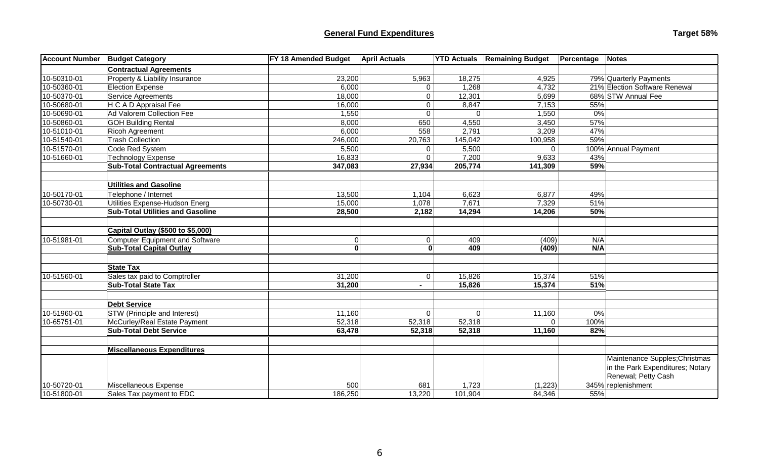# **General Fund Expenditures Target 58%**

| <b>Account Number</b> | <b>Budget Category</b>                  | FY 18 Amended Budget | <b>April Actuals</b> |             | <b>YTD Actuals Remaining Budget</b> | Percentage | <b>Notes</b>                     |
|-----------------------|-----------------------------------------|----------------------|----------------------|-------------|-------------------------------------|------------|----------------------------------|
|                       | <b>Contractual Agreements</b>           |                      |                      |             |                                     |            |                                  |
| 10-50310-01           | Property & Liability Insurance          | 23,200               | 5,963                | 18,275      | 4,925                               |            | 79% Quarterly Payments           |
| 10-50360-01           | <b>Election Expense</b>                 | 6,000                | 0                    | 1,268       | 4,732                               |            | 21% Election Software Renewal    |
| 10-50370-01           | Service Agreements                      | 18,000               | 0                    | 12,301      | 5,699                               |            | 68% STW Annual Fee               |
| 10-50680-01           | H C A D Appraisal Fee                   | 16,000               | $\mathbf 0$          | 8,847       | 7,153                               | 55%        |                                  |
| 10-50690-01           | Ad Valorem Collection Fee               | 1,550                | $\mathbf 0$          | $\Omega$    | 1,550                               | 0%         |                                  |
| 10-50860-01           | <b>GOH Building Rental</b>              | 8,000                | 650                  | 4,550       | 3,450                               | 57%        |                                  |
| 10-51010-01           | Ricoh Agreement                         | 6,000                | 558                  | 2,791       | 3,209                               | 47%        |                                  |
| 10-51540-01           | <b>Trash Collection</b>                 | 246,000              | 20,763               | 145,042     | 100,958                             | 59%        |                                  |
| 10-51570-01           | Code Red System                         | 5,500                | $\Omega$             | 5,500       | $\Omega$                            |            | 100% Annual Payment              |
| 10-51660-01           | <b>Technology Expense</b>               | 16,833               | $\Omega$             | 7,200       | 9,633                               | 43%        |                                  |
|                       | <b>Sub-Total Contractual Agreements</b> | 347,083              | 27,934               | 205,774     | 141,309                             | 59%        |                                  |
|                       |                                         |                      |                      |             |                                     |            |                                  |
|                       | <b>Utilities and Gasoline</b>           |                      |                      |             |                                     |            |                                  |
| 10-50170-01           | Telephone / Internet                    | 13,500               | 1,104                | 6,623       | 6,877                               | 49%        |                                  |
| 10-50730-01           | Utilities Expense-Hudson Energ          | 15,000               | 1,078                | 7,671       | 7,329                               | 51%        |                                  |
|                       | <b>Sub-Total Utilities and Gasoline</b> | 28,500               | 2,182                | 14,294      | 14,206                              | 50%        |                                  |
|                       |                                         |                      |                      |             |                                     |            |                                  |
|                       | Capital Outlay (\$500 to \$5,000)       |                      |                      |             |                                     |            |                                  |
| 10-51981-01           | <b>Computer Equipment and Software</b>  | $\Omega$             | 0                    | 409         | (409)                               | N/A        |                                  |
|                       | <b>Sub-Total Capital Outlay</b>         | 0                    | $\mathbf{0}$         | 409         | (409)                               | N/A        |                                  |
|                       |                                         |                      |                      |             |                                     |            |                                  |
|                       | <b>State Tax</b>                        |                      |                      |             |                                     |            |                                  |
| 10-51560-01           | Sales tax paid to Comptroller           | 31,200               | $\mathbf 0$          | 15,826      | 15,374                              | 51%        |                                  |
|                       | <b>Sub-Total State Tax</b>              | 31,200               | ۰.                   | 15,826      | 15,374                              | 51%        |                                  |
|                       |                                         |                      |                      |             |                                     |            |                                  |
|                       | <b>Debt Service</b>                     |                      |                      |             |                                     |            |                                  |
| 10-51960-01           | STW (Principle and Interest)            | 11,160               | $\Omega$             | $\mathbf 0$ | 11,160                              | 0%         |                                  |
| 10-65751-01           | McCurley/Real Estate Payment            | 52,318               | 52,318               | 52,318      | $\mathbf 0$                         | 100%       |                                  |
|                       | <b>Sub-Total Debt Service</b>           | 63,478               | 52,318               | 52,318      | 11,160                              | 82%        |                                  |
|                       |                                         |                      |                      |             |                                     |            |                                  |
|                       | <b>Miscellaneous Expenditures</b>       |                      |                      |             |                                     |            |                                  |
|                       |                                         |                      |                      |             |                                     |            | Maintenance Supples; Christmas   |
|                       |                                         |                      |                      |             |                                     |            | in the Park Expenditures; Notary |
|                       |                                         |                      |                      |             |                                     |            | Renewal; Petty Cash              |
| 10-50720-01           | Miscellaneous Expense                   | 500                  | 681                  | 1,723       | (1, 223)                            |            | 345% replenishment               |
| 10-51800-01           | Sales Tax payment to EDC                | 186,250              | 13,220               | 101,904     | 84,346                              | 55%        |                                  |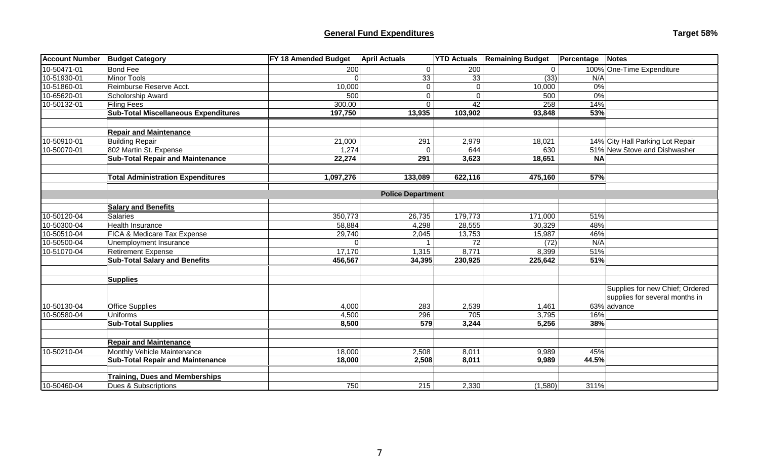# **General Fund Expenditures Target 58%**

| <b>Account Number</b> | <b>Budget Category</b>                      | FY 18 Amended Budget | <b>April Actuals</b>     |             | <b>YTD Actuals Remaining Budget</b> | Percentage | Notes                            |
|-----------------------|---------------------------------------------|----------------------|--------------------------|-------------|-------------------------------------|------------|----------------------------------|
| 10-50471-01           | <b>Bond Fee</b>                             | 200                  | $\mathbf{0}$             | 200         | 0                                   |            | 100% One-Time Expenditure        |
| 10-51930-01           | <b>Minor Tools</b>                          |                      | 33                       | 33          | (33)                                | N/A        |                                  |
| 10-51860-01           | Reimburse Reserve Acct.                     | 10,000               | $\mathbf{0}$             | $\mathbf 0$ | 10,000                              | 0%         |                                  |
| 10-65620-01           | Scholorship Award                           | 500                  | $\overline{0}$           | $\mathbf 0$ | 500                                 | $0\%$      |                                  |
| 10-50132-01           | Filing Fees                                 | 300.00               | $\overline{0}$           | 42          | 258                                 | 14%        |                                  |
|                       | <b>Sub-Total Miscellaneous Expenditures</b> | 197,750              | 13,935                   | 103,902     | 93,848                              | 53%        |                                  |
|                       |                                             |                      |                          |             |                                     |            |                                  |
|                       | <b>Repair and Maintenance</b>               |                      |                          |             |                                     |            |                                  |
| 10-50910-01           | <b>Building Repair</b>                      | 21,000               | 291                      | 2,979       | 18,021                              |            | 14% City Hall Parking Lot Repair |
| 10-50070-01           | 802 Martin St. Expense                      | 1,274                | $\Omega$                 | 644         | 630                                 |            | 51% New Stove and Dishwasher     |
|                       | <b>Sub-Total Repair and Maintenance</b>     | 22,274               | 291                      | 3,623       | 18,651                              | <b>NA</b>  |                                  |
|                       |                                             |                      |                          |             |                                     |            |                                  |
|                       | <b>Total Administration Expenditures</b>    | 1,097,276            | 133,089                  | 622,116     | 475,160                             | 57%        |                                  |
|                       |                                             |                      |                          |             |                                     |            |                                  |
|                       |                                             |                      | <b>Police Department</b> |             |                                     |            |                                  |
|                       | <b>Salary and Benefits</b>                  |                      |                          |             |                                     |            |                                  |
| 10-50120-04           | Salaries                                    | 350,773              | 26,735                   | 179,773     | 171,000                             | 51%        |                                  |
| 10-50300-04           | <b>Health Insurance</b>                     | 58,884               | 4,298                    | 28,555      | 30,329                              | 48%        |                                  |
| 10-50510-04           | FICA & Medicare Tax Expense                 | 29,740               | 2,045                    | 13,753      | 15,987                              | 46%        |                                  |
| 10-50500-04           | Unemployment Insurance                      |                      |                          | 72          | (72)                                | N/A        |                                  |
| 10-51070-04           | <b>Retirement Expense</b>                   | 17,170               | 1,315                    | 8,771       | 8,399                               | 51%        |                                  |
|                       | <b>Sub-Total Salary and Benefits</b>        | 456,567              | 34,395                   | 230,925     | 225,642                             | 51%        |                                  |
|                       |                                             |                      |                          |             |                                     |            |                                  |
|                       | <b>Supplies</b>                             |                      |                          |             |                                     |            |                                  |
|                       |                                             |                      |                          |             |                                     |            | Supplies for new Chief; Ordered  |
|                       |                                             |                      |                          |             |                                     |            | supplies for several months in   |
| 10-50130-04           | <b>Office Supplies</b>                      | 4,000                | 283                      | 2,539       | 1,461                               |            | 63% advance                      |
| 10-50580-04           | Uniforms                                    | 4,500                | 296                      | 705         | 3,795                               | 16%        |                                  |
|                       | <b>Sub-Total Supplies</b>                   | 8,500                | 579                      | 3,244       | 5,256                               | 38%        |                                  |
|                       |                                             |                      |                          |             |                                     |            |                                  |
|                       | <b>Repair and Maintenance</b>               |                      |                          |             |                                     |            |                                  |
| 10-50210-04           | Monthly Vehicle Maintenance                 | 18,000               | 2,508                    | 8,011       | 9,989                               | 45%        |                                  |
|                       | <b>Sub-Total Repair and Maintenance</b>     | 18,000               | 2,508                    | 8,011       | 9,989                               | 44.5%      |                                  |
|                       |                                             |                      |                          |             |                                     |            |                                  |
|                       | <b>Training, Dues and Memberships</b>       |                      |                          |             |                                     |            |                                  |
| 10-50460-04           | Dues & Subscriptions                        | 750                  | 215                      | 2,330       | (1,580)                             | 311%       |                                  |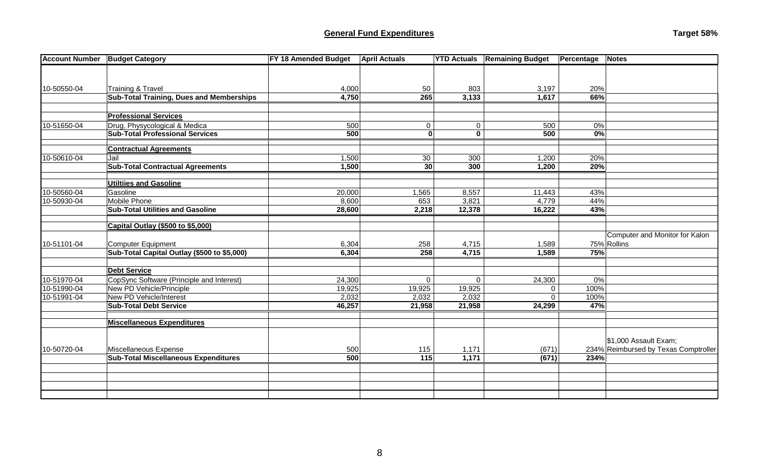| <b>Account Number</b> | <b>Budget Category</b>                                                   | FY 18 Amended Budget | <b>April Actuals</b> |                | <b>YTD Actuals Remaining Budget</b> | Percentage | Notes                                |
|-----------------------|--------------------------------------------------------------------------|----------------------|----------------------|----------------|-------------------------------------|------------|--------------------------------------|
|                       |                                                                          |                      |                      |                |                                     |            |                                      |
|                       |                                                                          |                      |                      |                |                                     |            |                                      |
| 10-50550-04           | <b>Training &amp; Travel</b>                                             | 4,000                | 50                   | 803            | 3,197                               | 20%        |                                      |
|                       | <b>Sub-Total Training, Dues and Memberships</b>                          | 4,750                | 265                  | 3,133          | 1,617                               | 66%        |                                      |
|                       |                                                                          |                      |                      |                |                                     |            |                                      |
|                       | <b>Professional Services</b>                                             |                      |                      |                |                                     |            |                                      |
| 10-51650-04           | Drug, Physycological & Medica                                            | 500                  | $\Omega$             | $\mathbf 0$    | 500                                 | 0%         |                                      |
|                       | <b>Sub-Total Professional Services</b>                                   | 500                  | $\mathbf{0}$         | $\mathbf 0$    | 500                                 | 0%         |                                      |
|                       | <b>Contractual Agreements</b>                                            |                      |                      |                |                                     |            |                                      |
| 10-50610-04           | Jail                                                                     | 1,500                | 30                   | 300            | 1,200                               | 20%        |                                      |
|                       | <b>Sub-Total Contractual Agreements</b>                                  | 1,500                | 30                   | 300            | 1,200                               | 20%        |                                      |
|                       |                                                                          |                      |                      |                |                                     |            |                                      |
|                       | <b>Utiltiies and Gasoline</b>                                            |                      |                      |                |                                     |            |                                      |
| 10-50560-04           | Gasoline                                                                 | 20,000               | 1,565                | 8,557          | 11,443                              | 43%        |                                      |
| 10-50930-04           | <b>Mobile Phone</b>                                                      | 8,600                | 653                  | 3,821          | 4,779                               | 44%        |                                      |
|                       | <b>Sub-Total Utilities and Gasoline</b>                                  | 28,600               | 2,218                | 12,378         | 16,222                              | 43%        |                                      |
|                       |                                                                          |                      |                      |                |                                     |            |                                      |
|                       | Capital Outlay (\$500 to \$5,000)                                        |                      |                      |                |                                     |            |                                      |
|                       |                                                                          |                      |                      |                |                                     |            | Computer and Monitor for Kalon       |
| 10-51101-04           | <b>Computer Equipment</b><br>Sub-Total Capital Outlay (\$500 to \$5,000) | 6,304<br>6,304       | 258<br>258           | 4,715<br>4,715 | 1,589<br>1,589                      | 75%        | 75% Rollins                          |
|                       |                                                                          |                      |                      |                |                                     |            |                                      |
|                       | <b>Debt Service</b>                                                      |                      |                      |                |                                     |            |                                      |
| 10-51970-04           | CopSync Software (Principle and Interest)                                | 24,300               | $\mathbf{0}$         | $\mathbf 0$    | $\overline{2}4,300$                 | $0\%$      |                                      |
| 10-51990-04           | New PD Vehicle/Principle                                                 | 19,925               | 19,925               | 19,925         | 0                                   | 100%       |                                      |
| 10-51991-04           | New PD Vehicle/Interest                                                  | 2,032                | 2,032                | 2,032          | $\mathbf 0$                         | 100%       |                                      |
|                       | <b>Sub-Total Debt Service</b>                                            | 46,257               | 21,958               | 21,958         | 24,299                              | 47%        |                                      |
|                       |                                                                          |                      |                      |                |                                     |            |                                      |
|                       | <b>Miscellaneous Expenditures</b>                                        |                      |                      |                |                                     |            |                                      |
|                       |                                                                          |                      |                      |                |                                     |            |                                      |
|                       |                                                                          |                      |                      |                |                                     |            | \$1,000 Assault Exam;                |
| 10-50720-04           | Miscellaneous Expense                                                    | 500                  | 115                  | 1,171          | (671)                               |            | 234% Reimbursed by Texas Comptroller |
|                       | <b>Sub-Total Miscellaneous Expenditures</b>                              | 500                  | $\overline{115}$     | 1,171          | (671)                               | 234%       |                                      |
|                       |                                                                          |                      |                      |                |                                     |            |                                      |
|                       |                                                                          |                      |                      |                |                                     |            |                                      |
|                       |                                                                          |                      |                      |                |                                     |            |                                      |
|                       |                                                                          |                      |                      |                |                                     |            |                                      |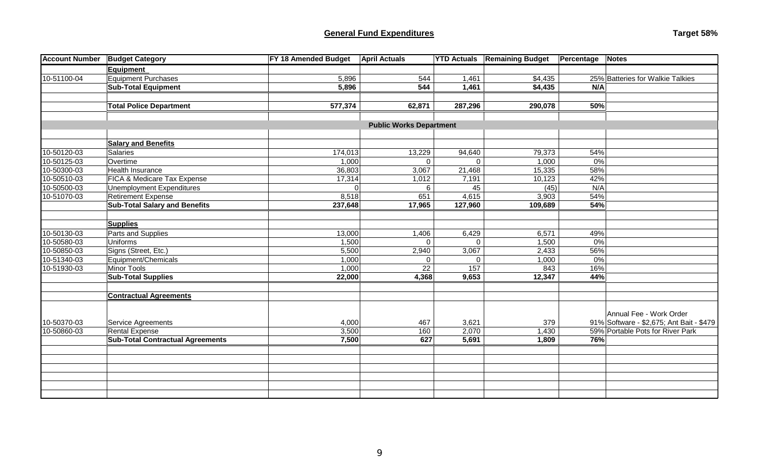### **General Fund Expenditures**

| Target 58% |  |
|------------|--|
|------------|--|

| <b>Account Number</b> | <b>Budget Category</b>                  | <b>FY 18 Amended Budget</b> | <b>April Actuals</b>           |          | <b>YTD Actuals Remaining Budget</b> | <b>Percentage Notes</b> |                                          |
|-----------------------|-----------------------------------------|-----------------------------|--------------------------------|----------|-------------------------------------|-------------------------|------------------------------------------|
|                       | <b>Equipment</b>                        |                             |                                |          |                                     |                         |                                          |
| 10-51100-04           | <b>Equipment Purchases</b>              | 5,896                       | 544                            | 1,461    | \$4,435                             |                         | 25% Batteries for Walkie Talkies         |
|                       | <b>Sub-Total Equipment</b>              | 5,896                       | 544                            | 1,461    | \$4,435                             | N/A                     |                                          |
|                       |                                         |                             |                                |          |                                     |                         |                                          |
|                       | <b>Total Police Department</b>          | 577,374                     | 62,871                         | 287,296  | 290,078                             | 50%                     |                                          |
|                       |                                         |                             |                                |          |                                     |                         |                                          |
|                       |                                         |                             | <b>Public Works Department</b> |          |                                     |                         |                                          |
|                       |                                         |                             |                                |          |                                     |                         |                                          |
|                       | <b>Salary and Benefits</b>              |                             |                                |          |                                     |                         |                                          |
| 10-50120-03           | <b>Salaries</b>                         | 174,013                     | 13,229                         | 94,640   | 79,373                              | 54%                     |                                          |
| 10-50125-03           | Overtime                                | 1,000                       | $\Omega$                       | $\Omega$ | 1,000                               | 0%                      |                                          |
| 10-50300-03           | Health Insurance                        | 36,803                      | 3,067                          | 21,468   | 15,335                              | 58%                     |                                          |
| 10-50510-03           | FICA & Medicare Tax Expense             | 17,314                      | 1,012                          | 7,191    | 10,123                              | 42%                     |                                          |
| 10-50500-03           | Unemployment Expenditures               | 0                           | 6                              | 45       | (45)                                | N/A                     |                                          |
| 10-51070-03           | <b>Retirement Expense</b>               | 8,518                       | 651                            | 4,615    | 3,903                               | 54%                     |                                          |
|                       | <b>Sub-Total Salary and Benefits</b>    | 237,648                     | 17,965                         | 127,960  | 109,689                             | 54%                     |                                          |
|                       | <b>Supplies</b>                         |                             |                                |          |                                     |                         |                                          |
| 10-50130-03           | Parts and Supplies                      | 13,000                      | 1,406                          | 6,429    | 6,571                               | 49%                     |                                          |
| 10-50580-03           | <b>Uniforms</b>                         | 1,500                       | $\Omega$                       | $\Omega$ | 1,500                               | 0%                      |                                          |
| 10-50850-03           | Signs (Street, Etc.)                    | 5,500                       | 2,940                          | 3,067    | 2,433                               | 56%                     |                                          |
| 10-51340-03           | Equipment/Chemicals                     | 1,000                       | $\Omega$                       | $\Omega$ | 1,000                               | 0%                      |                                          |
| 10-51930-03           | Minor Tools                             | 1,000                       | 22                             | 157      | 843                                 | 16%                     |                                          |
|                       | <b>Sub-Total Supplies</b>               | 22,000                      | 4,368                          | 9,653    | 12,347                              | 44%                     |                                          |
|                       | <b>Contractual Agreements</b>           |                             |                                |          |                                     |                         |                                          |
|                       |                                         |                             |                                |          |                                     |                         |                                          |
|                       |                                         |                             |                                |          |                                     |                         | Annual Fee - Work Order                  |
| 10-50370-03           | Service Agreements                      | 4,000                       | 467                            | 3,621    | 379                                 |                         | 91% Software - \$2,675; Ant Bait - \$479 |
| 10-50860-03           | <b>Rental Expense</b>                   | 3,500                       | 160                            | 2,070    | 1,430                               |                         | 59% Portable Pots for River Park         |
|                       | <b>Sub-Total Contractual Agreements</b> | 7,500                       | 627                            | 5,691    | 1,809                               | 76%                     |                                          |
|                       |                                         |                             |                                |          |                                     |                         |                                          |
|                       |                                         |                             |                                |          |                                     |                         |                                          |
|                       |                                         |                             |                                |          |                                     |                         |                                          |
|                       |                                         |                             |                                |          |                                     |                         |                                          |
|                       |                                         |                             |                                |          |                                     |                         |                                          |
|                       |                                         |                             |                                |          |                                     |                         |                                          |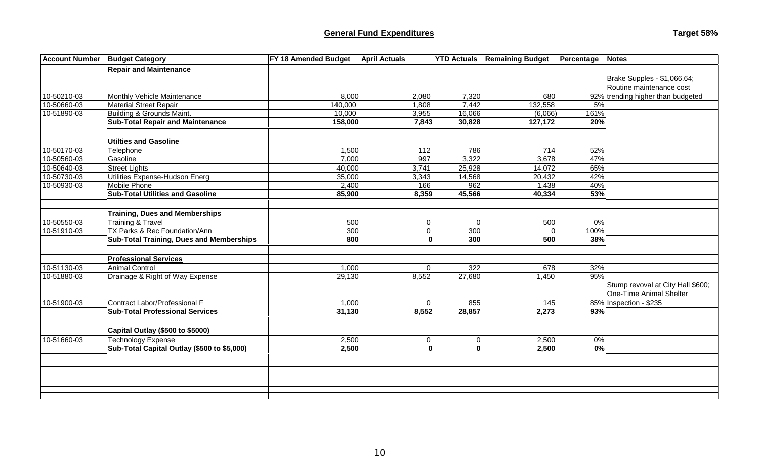| <b>Account Number</b> | <b>Budget Category</b>                          | <b>FY 18 Amended Budget</b> | <b>April Actuals</b>    | <b>YTD Actuals</b>      | <b>Remaining Budget</b> | Percentage              | <b>Notes</b>                      |
|-----------------------|-------------------------------------------------|-----------------------------|-------------------------|-------------------------|-------------------------|-------------------------|-----------------------------------|
|                       | <b>Repair and Maintenance</b>                   |                             |                         |                         |                         |                         |                                   |
|                       |                                                 |                             |                         |                         |                         |                         | Brake Supples - \$1,066.64;       |
|                       |                                                 |                             |                         |                         |                         |                         | Routine maintenance cost          |
| 10-50210-03           | Monthly Vehicle Maintenance                     | 8,000                       | 2,080                   | 7,320                   | 680                     |                         | 92% trending higher than budgeted |
| 10-50660-03           | <b>Material Street Repair</b>                   | 140,000                     | 1,808                   | 7,442                   | 132,558                 | 5%                      |                                   |
| 10-51890-03           | Building & Grounds Maint.                       | 10,000                      | 3,955                   | 16,066                  | (6,066)                 | 161%                    |                                   |
|                       | <b>Sub-Total Repair and Maintenance</b>         | 158,000                     | 7,843                   | 30,828                  | 127,172                 | 20%                     |                                   |
|                       |                                                 |                             |                         |                         |                         |                         |                                   |
|                       | Utilties and Gasoline                           |                             |                         |                         |                         |                         |                                   |
| 10-50170-03           | Telephone                                       | 1,500                       | 112                     | 786                     | 714                     | 52%                     |                                   |
| 10-50560-03           | Gasoline                                        | 7,000                       | 997                     | 3,322                   | 3,678                   | 47%                     |                                   |
| 10-50640-03           | <b>Street Lights</b>                            | 40,000                      | 3,741                   | 25,928                  | 14,072                  | 65%                     |                                   |
| 10-50730-03           | Utilities Expense-Hudson Energ                  | 35,000                      | 3,343                   | 14,568                  | 20,432                  | 42%                     |                                   |
| 10-50930-03           | Mobile Phone                                    | 2,400                       | 166                     | 962                     | 1,438                   | 40%                     |                                   |
|                       | <b>Sub-Total Utilities and Gasoline</b>         | 85,900                      | 8,359                   | 45,566                  | 40,334                  | 53%                     |                                   |
|                       |                                                 |                             |                         |                         |                         |                         |                                   |
|                       | <b>Training, Dues and Memberships</b>           |                             |                         |                         |                         |                         |                                   |
| 10-50550-03           | <b>Training &amp; Travel</b>                    | 500                         | $\mathbf 0$             | $\mathbf{0}$            | 500                     | 0%                      |                                   |
| 10-51910-03           | TX Parks & Rec Foundation/Ann                   | 300                         | 0                       | 300                     | $\Omega$                | 100%                    |                                   |
|                       | <b>Sub-Total Training, Dues and Memberships</b> | 800                         | $\mathbf{0}$            | 300                     | 500                     | 38%                     |                                   |
|                       |                                                 |                             |                         |                         |                         |                         |                                   |
|                       | <b>Professional Services</b>                    |                             |                         |                         |                         |                         |                                   |
| 10-51130-03           | <b>Animal Control</b>                           | 1,000                       | $\Omega$                | 322                     | 678                     | 32%                     |                                   |
| 10-51880-03           | Drainage & Right of Way Expense                 | 29,130                      | 8,552                   | 27,680                  | 1,450                   | 95%                     |                                   |
|                       |                                                 |                             |                         |                         |                         |                         | Stump revoval at City Hall \$600; |
|                       |                                                 |                             |                         |                         |                         |                         | <b>One-Time Animal Shelter</b>    |
| 10-51900-03           | Contract Labor/Professional F                   | 1,000                       | $\Omega$                | 855                     | 145                     |                         | 85% Inspection - \$235            |
|                       | <b>Sub-Total Professional Services</b>          | 31,130                      | 8,552                   | 28,857                  | 2,273                   | 93%                     |                                   |
|                       |                                                 |                             |                         |                         |                         |                         |                                   |
|                       | Capital Outlay (\$500 to \$5000)                |                             |                         |                         |                         |                         |                                   |
| 10-51660-03           | Technology Expense                              | 2,500                       | $\mathbf 0$             | 0                       | 2,500                   | 0%                      |                                   |
|                       | Sub-Total Capital Outlay (\$500 to \$5,000)     | 2,500                       | $\overline{\mathbf{o}}$ | $\overline{\mathbf{0}}$ | 2,500                   | $\overline{\mathbf{0}}$ |                                   |
|                       |                                                 |                             |                         |                         |                         |                         |                                   |
|                       |                                                 |                             |                         |                         |                         |                         |                                   |
|                       |                                                 |                             |                         |                         |                         |                         |                                   |
|                       |                                                 |                             |                         |                         |                         |                         |                                   |
|                       |                                                 |                             |                         |                         |                         |                         |                                   |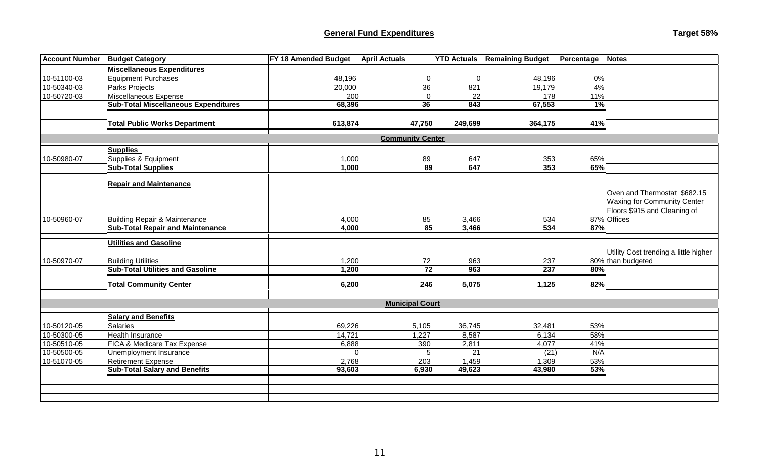# **General Fund Expenditures Target 58% Target 58% Target 58% Target 58% Target 58%**

| Target 58% |  |
|------------|--|
|------------|--|

| <b>Account Number</b> | <b>Budget Category</b>                      | FY 18 Amended Budget | <b>April Actuals</b>    | <b>YTD Actuals</b> | <b>Remaining Budget</b> | Percentage | Notes                                 |
|-----------------------|---------------------------------------------|----------------------|-------------------------|--------------------|-------------------------|------------|---------------------------------------|
|                       | <b>Miscellaneous Expenditures</b>           |                      |                         |                    |                         |            |                                       |
| 10-51100-03           | <b>Equipment Purchases</b>                  | 48,196               | 0                       | 0                  | 48,196                  | 0%         |                                       |
| 10-50340-03           | Parks Projects                              | 20,000               | 36                      | 821                | 19,179                  | 4%         |                                       |
| 10-50720-03           | Miscellaneous Expense                       | 200                  | 0                       | 22                 | 178                     | 11%        |                                       |
|                       | <b>Sub-Total Miscellaneous Expenditures</b> | 68,396               | 36                      | 843                | 67,553                  | 1%         |                                       |
|                       |                                             |                      |                         |                    |                         |            |                                       |
|                       | <b>Total Public Works Department</b>        | 613,874              | 47,750                  | 249,699            | 364,175                 | 41%        |                                       |
|                       |                                             |                      |                         |                    |                         |            |                                       |
|                       |                                             |                      | <b>Community Center</b> |                    |                         |            |                                       |
|                       | <b>Supplies</b>                             |                      |                         |                    |                         |            |                                       |
| 10-50980-07           | Supplies & Equipment                        | 1,000                | 89                      | 647                | 353                     | 65%        |                                       |
|                       | <b>Sub-Total Supplies</b>                   | 1,000                | 89                      | 647                | 353                     | 65%        |                                       |
|                       |                                             |                      |                         |                    |                         |            |                                       |
|                       | <b>Repair and Maintenance</b>               |                      |                         |                    |                         |            |                                       |
|                       |                                             |                      |                         |                    |                         |            | Oven and Thermostat \$682.15          |
|                       |                                             |                      |                         |                    |                         |            | <b>Waxing for Community Center</b>    |
|                       |                                             |                      |                         |                    |                         |            | Floors \$915 and Cleaning of          |
| 10-50960-07           | <b>Building Repair &amp; Maintenance</b>    | 4,000                | 85                      | 3,466              | 534                     |            | 87% Offices                           |
|                       | <b>Sub-Total Repair and Maintenance</b>     | 4,000                | $\overline{85}$         | 3,466              | 534                     | 87%        |                                       |
|                       | <b>Utilities and Gasoline</b>               |                      |                         |                    |                         |            |                                       |
|                       |                                             |                      |                         |                    |                         |            | Utility Cost trending a little higher |
| 10-50970-07           | <b>Building Utilities</b>                   | 1,200                | 72                      | 963                | 237                     |            | 80% than budgeted                     |
|                       | <b>Sub-Total Utilities and Gasoline</b>     | 1,200                | 72                      | 963                | 237                     | 80%        |                                       |
|                       |                                             |                      |                         |                    |                         |            |                                       |
|                       | <b>Total Community Center</b>               | 6,200                | 246                     | 5,075              | 1,125                   | 82%        |                                       |
|                       |                                             |                      |                         |                    |                         |            |                                       |
|                       |                                             |                      | <b>Municipal Court</b>  |                    |                         |            |                                       |
|                       | <b>Salary and Benefits</b>                  |                      |                         |                    |                         |            |                                       |
| 10-50120-05           | Salaries                                    | 69,226               | 5,105                   | 36,745             | 32,481                  | 53%        |                                       |
| 10-50300-05           | Health Insurance                            | 14,721               | 1,227                   | 8,587              | 6,134                   | 58%        |                                       |
| 10-50510-05           | FICA & Medicare Tax Expense                 | 6,888                | 390                     | 2,811              | 4,077                   | 41%        |                                       |
| 10-50500-05           | Unemployment Insurance                      | $\Omega$             | 5                       | 21                 | (21)                    | N/A        |                                       |
| 10-51070-05           | <b>Retirement Expense</b>                   | 2,768                | 203                     | 1,459              | 1,309                   | 53%        |                                       |
|                       | <b>Sub-Total Salary and Benefits</b>        | 93,603               | 6,930                   | 49,623             | 43,980                  | 53%        |                                       |
|                       |                                             |                      |                         |                    |                         |            |                                       |
|                       |                                             |                      |                         |                    |                         |            |                                       |
|                       |                                             |                      |                         |                    |                         |            |                                       |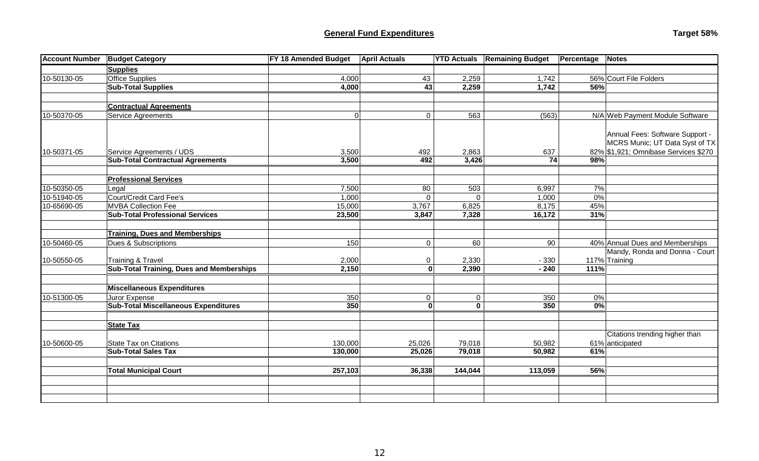| Target 58% |  |
|------------|--|
|------------|--|

|             | <b>Account Number Budget Category</b>                                    | FY 18 Amended Budget | <b>April Actuals</b> | <b>YTD Actuals</b> | <b>Remaining Budget</b> | Percentage       | Notes                                |
|-------------|--------------------------------------------------------------------------|----------------------|----------------------|--------------------|-------------------------|------------------|--------------------------------------|
|             | <b>Supplies</b>                                                          |                      |                      |                    |                         |                  |                                      |
| 10-50130-05 | <b>Office Supplies</b>                                                   | 4,000                | 43                   | 2,259              | 1,742                   |                  | 56% Court File Folders               |
|             | <b>Sub-Total Supplies</b>                                                | 4,000                | $\overline{43}$      | 2,259              | 1,742                   | 56%              |                                      |
|             |                                                                          |                      |                      |                    |                         |                  |                                      |
|             | <b>Contractual Agreements</b>                                            |                      |                      |                    |                         |                  |                                      |
| 10-50370-05 | <b>Service Agreements</b>                                                | $\overline{0}$       | $\mathbf 0$          | 563                | (563)                   |                  | N/A Web Payment Module Software      |
|             |                                                                          |                      |                      |                    |                         |                  |                                      |
|             |                                                                          |                      |                      |                    |                         |                  | Annual Fees: Software Support -      |
|             |                                                                          |                      |                      |                    |                         |                  | MCRS Munic; UT Data Syst of TX       |
| 10-50371-05 | Service Agreements / UDS                                                 | 3,500                | 492                  | 2,863              | 637                     |                  | 82% \$1,921; Omnibase Services \$270 |
|             | <b>Sub-Total Contractual Agreements</b>                                  | 3,500                | 492                  | 3,426              | 74                      | 98%              |                                      |
|             |                                                                          |                      |                      |                    |                         |                  |                                      |
|             | <b>Professional Services</b>                                             |                      |                      |                    |                         |                  |                                      |
| 10-50350-05 | Legal                                                                    | 7,500                | 80                   | 503                | 6,997                   | 7%               |                                      |
| 10-51940-05 | Court/Credit Card Fee's                                                  | 1,000                | $\Omega$             | $\mathbf{0}$       | 1,000                   | 0%               |                                      |
| 10-65690-05 | <b>MVBA Collection Fee</b>                                               | 15,000               | 3,767                | 6,825              | 8,175                   | 45%              |                                      |
|             | <b>Sub-Total Professional Services</b>                                   | 23,500               | 3,847                | 7,328              | 16,172                  | 31%              |                                      |
|             |                                                                          |                      |                      |                    |                         |                  |                                      |
| 10-50460-05 | <b>Training, Dues and Memberships</b><br><b>Dues &amp; Subscriptions</b> | 150                  |                      | 60                 | 90                      |                  | 40% Annual Dues and Memberships      |
|             |                                                                          |                      | $\mathbf 0$          |                    |                         |                  | Mandy, Ronda and Donna - Court       |
| 10-50550-05 | <b>Training &amp; Travel</b>                                             | 2,000                | 0                    | 2,330              | $-330$                  |                  | 117% Training                        |
|             | <b>Sub-Total Training, Dues and Memberships</b>                          | 2,150                | $\mathbf 0$          | 2,390              | $-240$                  | 111%             |                                      |
|             |                                                                          |                      |                      |                    |                         |                  |                                      |
|             | <b>Miscellaneous Expenditures</b>                                        |                      |                      |                    |                         |                  |                                      |
| 10-51300-05 | Juror Expense                                                            | 350                  | $\mathbf 0$          | $\overline{0}$     | 350                     | 0%               |                                      |
|             | <b>Sub-Total Miscellaneous Expenditures</b>                              | 350                  | $\mathbf 0$          | $\mathbf 0$        | 350                     | $\overline{0\%}$ |                                      |
|             |                                                                          |                      |                      |                    |                         |                  |                                      |
|             | <b>State Tax</b>                                                         |                      |                      |                    |                         |                  |                                      |
|             |                                                                          |                      |                      |                    |                         |                  | Citations trending higher than       |
| 10-50600-05 | <b>State Tax on Citations</b>                                            | 130,000              | 25,026               | 79,018             | 50,982                  |                  | 61% anticipated                      |
|             | <b>Sub-Total Sales Tax</b>                                               | 130,000              | 25,026               | 79,018             | 50,982                  | 61%              |                                      |
|             |                                                                          |                      |                      |                    |                         |                  |                                      |
|             | <b>Total Municipal Court</b>                                             | 257,103              | 36,338               | 144,044            | 113,059                 | 56%              |                                      |
|             |                                                                          |                      |                      |                    |                         |                  |                                      |
|             |                                                                          |                      |                      |                    |                         |                  |                                      |
|             |                                                                          |                      |                      |                    |                         |                  |                                      |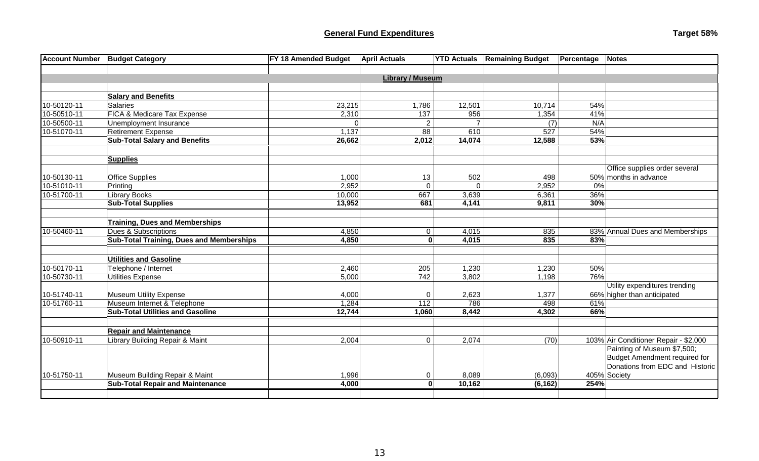| <b>Account Number</b> | <b>Budget Category</b>                          | FY 18 Amended Budget | <b>April Actuals</b> | <b>YTD Actuals</b> | <b>Remaining Budget</b> | <b>Percentage Notes</b> |                                       |
|-----------------------|-------------------------------------------------|----------------------|----------------------|--------------------|-------------------------|-------------------------|---------------------------------------|
|                       |                                                 |                      |                      |                    |                         |                         |                                       |
|                       | <b>Library / Museum</b>                         |                      |                      |                    |                         |                         |                                       |
|                       |                                                 |                      |                      |                    |                         |                         |                                       |
|                       | <b>Salary and Benefits</b>                      |                      |                      |                    |                         |                         |                                       |
| 10-50120-11           | <b>Salaries</b>                                 | 23,215               | 1,786                | 12,501             | 10,714                  | 54%                     |                                       |
| 10-50510-11           | FICA & Medicare Tax Expense                     | 2,310                | 137                  | 956                | 1,354                   | 41%                     |                                       |
| 10-50500-11           | Unemployment Insurance                          |                      | $\overline{2}$       |                    | (7)                     | N/A                     |                                       |
| 10-51070-11           | <b>Retirement Expense</b>                       | 1,137                | 88                   | 610                | 527                     | 54%                     |                                       |
|                       | <b>Sub-Total Salary and Benefits</b>            | 26,662               | 2,012                | 14,074             | 12,588                  | 53%                     |                                       |
|                       |                                                 |                      |                      |                    |                         |                         |                                       |
|                       | <b>Supplies</b>                                 |                      |                      |                    |                         |                         |                                       |
|                       |                                                 |                      |                      |                    |                         |                         | Office supplies order several         |
| 10-50130-11           | <b>Office Supplies</b>                          | 1,000                | 13                   | 502                | 498                     |                         | 50% months in advance                 |
| 10-51010-11           | Printing                                        | 2,952                | $\mathbf{0}$         | $\Omega$           | 2,952                   | 0%                      |                                       |
| 10-51700-11           | <b>Library Books</b>                            | 10,000               | 667                  | 3,639              | 6,361                   | 36%                     |                                       |
|                       | <b>Sub-Total Supplies</b>                       | 13,952               | 681                  | 4,141              | 9,811                   | 30%                     |                                       |
|                       | <b>Training, Dues and Memberships</b>           |                      |                      |                    |                         |                         |                                       |
| 10-50460-11           | <b>Dues &amp; Subscriptions</b>                 | 4,850                | 0                    | 4,015              | 835                     |                         | 83% Annual Dues and Memberships       |
|                       | <b>Sub-Total Training, Dues and Memberships</b> | 4,850                | $\mathbf{0}$         | 4,015              | 835                     | 83%                     |                                       |
|                       |                                                 |                      |                      |                    |                         |                         |                                       |
|                       | <b>Utilities and Gasoline</b>                   |                      |                      |                    |                         |                         |                                       |
| 10-50170-11           | Telephone / Internet                            | 2,460                | 205                  | 1,230              | 1,230                   | 50%                     |                                       |
| 10-50730-11           | <b>Utilities Expense</b>                        | 5,000                | 742                  | 3,802              | 1,198                   | 76%                     |                                       |
|                       |                                                 |                      |                      |                    |                         |                         | Utility expenditures trending         |
| 10-51740-11           | <b>Museum Utility Expense</b>                   | 4,000                | 0                    | 2,623              | 1,377                   |                         | 66% higher than anticipated           |
| 10-51760-11           | Museum Internet & Telephone                     | 1,284                | 112                  | 786                | 498                     | 61%                     |                                       |
|                       | <b>Sub-Total Utilities and Gasoline</b>         | 12,744               | 1,060                | 8,442              | 4,302                   | 66%                     |                                       |
|                       |                                                 |                      |                      |                    |                         |                         |                                       |
|                       | <b>Repair and Maintenance</b>                   |                      |                      |                    |                         |                         |                                       |
| 10-50910-11           | Library Building Repair & Maint                 | 2,004                | $\mathbf 0$          | 2,074              | (70)                    |                         | 103% Air Conditioner Repair - \$2,000 |
|                       |                                                 |                      |                      |                    |                         |                         | Painting of Museum \$7,500;           |
|                       |                                                 |                      |                      |                    |                         |                         | <b>Budget Amendment required for</b>  |
|                       |                                                 |                      |                      |                    |                         |                         | Donations from EDC and Historic       |
| 10-51750-11           | Museum Building Repair & Maint                  | 1,996                | $\mathbf 0$          | 8,089              | (6,093)                 |                         | 405% Society                          |
|                       | <b>Sub-Total Repair and Maintenance</b>         | 4,000                | $\mathbf 0$          | 10,162             | (6, 162)                | 254%                    |                                       |
|                       |                                                 |                      |                      |                    |                         |                         |                                       |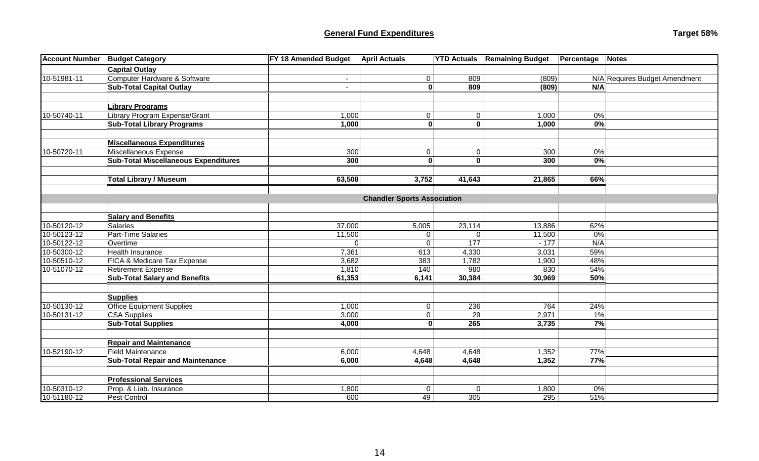## **General Fund Expenditures Target 58% Target 58% Target 58% Target 58% Target 58%**

| Target 58% |  |
|------------|--|
|------------|--|

| <b>Account Number</b> | <b>Budget Category</b>                      | <b>FY 18 Amended Budget</b> | <b>April Actuals</b>               | <b>YTD Actuals</b>      | <b>Remaining Budget</b> | Percentage  | Notes                         |
|-----------------------|---------------------------------------------|-----------------------------|------------------------------------|-------------------------|-------------------------|-------------|-------------------------------|
|                       | <b>Capital Outlay</b>                       |                             |                                    |                         |                         |             |                               |
| 10-51981-11           | Computer Hardware & Software                |                             | $\pmb{0}$                          | 809                     | (809)                   |             | N/A Requires Budget Amendment |
|                       | <b>Sub-Total Capital Outlay</b>             | $\blacksquare$              | $\mathbf{0}$                       | 809                     | (809)                   | N/A         |                               |
|                       |                                             |                             |                                    |                         |                         |             |                               |
|                       | <b>Library Programs</b>                     |                             |                                    |                         |                         |             |                               |
| 10-50740-11           | Library Program Expense/Grant               | 1,000                       | $\boldsymbol{0}$                   | $\mathbf 0$             | 1,000                   | 0%          |                               |
|                       | <b>Sub-Total Library Programs</b>           | 1,000                       | $\mathbf{0}$                       | $\overline{\mathbf{0}}$ | 1,000                   | 0%          |                               |
|                       |                                             |                             |                                    |                         |                         |             |                               |
|                       | <b>Miscellaneous Expenditures</b>           |                             |                                    |                         |                         |             |                               |
| 10-50720-11           | Miscellaneous Expense                       | 300                         | $\pmb{0}$                          | $\mathbf 0$             | 300                     | 0%          |                               |
|                       | <b>Sub-Total Miscellaneous Expenditures</b> | 300                         | $\mathbf{0}$                       | $\overline{\mathbf{0}}$ | 300                     | $0\%$       |                               |
|                       |                                             |                             |                                    |                         |                         |             |                               |
|                       | <b>Total Library / Museum</b>               | 63,508                      | 3,752                              | 41,643                  | 21,865                  | 66%         |                               |
|                       |                                             |                             |                                    |                         |                         |             |                               |
|                       |                                             |                             | <b>Chandler Sports Association</b> |                         |                         |             |                               |
|                       | <b>Salary and Benefits</b>                  |                             |                                    |                         |                         |             |                               |
| 10-50120-12           | Salaries                                    | 37,000                      | 5,005                              | 23,114                  | 13,886                  | 62%         |                               |
| 10-50123-12           | Part-Time Salaries                          | 11,500                      | $\mathbf 0$                        | $\Omega$                | 11,500                  | 0%          |                               |
| 10-50122-12           | Overtime                                    | $\Omega$                    | $\mathbf 0$                        | 177                     | $-177$                  | N/A         |                               |
| 10-50300-12           | <b>Health Insurance</b>                     | 7,361                       | 613                                | 4,330                   | 3,031                   | 59%         |                               |
| 10-50510-12           | FICA & Medicare Tax Expense                 | 3,682                       | 383                                | 1,782                   | 1,900                   | 48%         |                               |
| 10-51070-12           | <b>Retirement Expense</b>                   | 1,810                       | 140                                | 980                     | 830                     | 54%         |                               |
|                       | <b>Sub-Total Salary and Benefits</b>        | 61,353                      | 6,141                              | 30,384                  | 30,969                  | 50%         |                               |
|                       |                                             |                             |                                    |                         |                         |             |                               |
|                       | <b>Supplies</b>                             |                             |                                    |                         |                         |             |                               |
| 10-50130-12           | <b>Office Equipment Supplies</b>            | 1,000                       | $\pmb{0}$                          | 236                     | 764                     | 24%         |                               |
| 10-50131-12           | <b>CSA Supplies</b>                         | 3,000<br>4,000              | $\mathbf 0$                        | $\overline{29}$<br>265  | 2,971<br>3,735          | $1\%$<br>7% |                               |
|                       | <b>Sub-Total Supplies</b>                   |                             | $\mathbf{0}$                       |                         |                         |             |                               |
|                       | <b>Repair and Maintenance</b>               |                             |                                    |                         |                         |             |                               |
| 10-52190-12           | <b>Field Maintenance</b>                    | 6,000                       | 4,648                              | 4,648                   | 1,352                   | 77%         |                               |
|                       | <b>Sub-Total Repair and Maintenance</b>     | 6,000                       | 4,648                              | 4,648                   | 1,352                   | 77%         |                               |
|                       |                                             |                             |                                    |                         |                         |             |                               |
|                       | <b>Professional Services</b>                |                             |                                    |                         |                         |             |                               |
| 10-50310-12           | Prop. & Liab. Insurance                     | 1,800                       | $\pmb{0}$                          | $\mathbf 0$             | 1,800                   | 0%          |                               |
| 10-51180-12           | Pest Control                                | 600                         | 49                                 | 305                     | 295                     | 51%         |                               |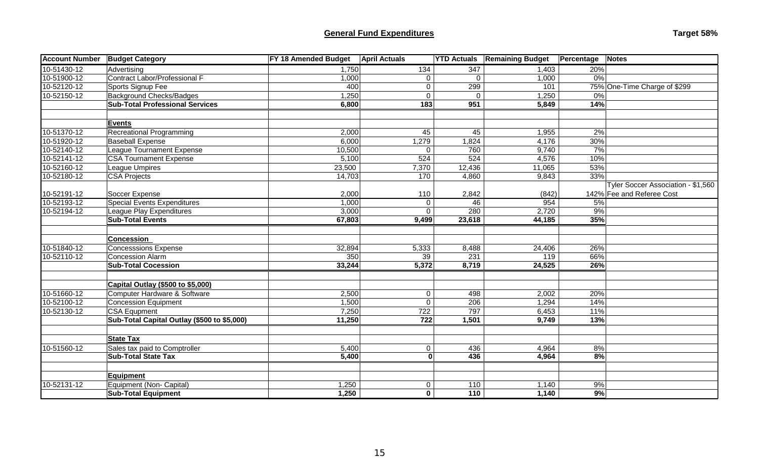# **General Fund Expenditures Target 58%**

| <b>Account Number</b> | <b>Budget Category</b>                      | <b>FY 18 Amended Budget</b> | <b>April Actuals</b> |          | <b>YTD Actuals Remaining Budget</b> | <b>Percentage</b>    | <b>Notes</b>                       |
|-----------------------|---------------------------------------------|-----------------------------|----------------------|----------|-------------------------------------|----------------------|------------------------------------|
| 10-51430-12           | Advertising                                 | 1,750                       | 134                  | 347      | 1,403                               | 20%                  |                                    |
| 10-51900-12           | Contract Labor/Professional F               | 1,000                       | $\Omega$             | $\Omega$ | 1,000                               | 0%                   |                                    |
| 10-52120-12           | Sports Signup Fee                           | 400                         | 0                    | 299      | 101                                 |                      | 75% One-Time Charge of \$299       |
| 10-52150-12           | <b>Background Checks/Badges</b>             | 1,250                       | $\Omega$             | $\Omega$ | 1,250                               | 0%                   |                                    |
|                       | <b>Sub-Total Professional Services</b>      | 6,800                       | $\frac{1}{183}$      | 951      | 5,849                               | 14%                  |                                    |
|                       | <b>Events</b>                               |                             |                      |          |                                     |                      |                                    |
| 10-51370-12           | <b>Recreational Programming</b>             | 2,000                       | 45                   | 45       | 1,955                               | 2%                   |                                    |
| 10-51920-12           | <b>Baseball Expense</b>                     | 6,000                       | 1,279                | 1,824    | 4,176                               | 30%                  |                                    |
| 10-52140-12           | League Tournament Expense                   | 10,500                      | $\Omega$             | 760      | 9,740                               | 7%                   |                                    |
| 10-52141-12           | <b>CSA Tournament Expense</b>               | 5,100                       | 524                  | 524      | 4,576                               | 10%                  |                                    |
| 10-52160-12           | League Umpires                              | 23,500                      | 7,370                | 12,436   | 11,065                              | 53%                  |                                    |
| 10-52180-12           | <b>CSA Projects</b>                         | 14,703                      | 170                  | 4,860    | 9,843                               | 33%                  |                                    |
|                       |                                             |                             |                      |          |                                     |                      | Tyler Soccer Association - \$1,560 |
| 10-52191-12           | Soccer Expense                              | 2,000                       | 110                  | 2,842    | (842)                               |                      | 142% Fee and Referee Cost          |
| 10-52193-12           | <b>Special Events Expenditures</b>          | 1,000                       | $\Omega$             | 46       | 954                                 | 5%                   |                                    |
| 10-52194-12           | League Play Expenditures                    | 3,000                       | 0                    | 280      | 2,720                               | 9%                   |                                    |
|                       | <b>Sub-Total Events</b>                     | 67,803                      | 9,499                | 23,618   | 44,185                              | 35%                  |                                    |
|                       | <b>Concession</b>                           |                             |                      |          |                                     |                      |                                    |
| 10-51840-12           | <b>Concesssions Expense</b>                 | 32,894                      | 5,333                | 8,488    | 24,406                              | 26%                  |                                    |
| 10-52110-12           | <b>Concession Alarm</b>                     | 350                         | 39                   | 231      | 119                                 | 66%                  |                                    |
|                       | <b>Sub-Total Cocession</b>                  | 33,244                      | 5,372                | 8,719    | 24,525                              | 26%                  |                                    |
|                       |                                             |                             |                      |          |                                     |                      |                                    |
|                       | Capital Outlay (\$500 to \$5,000)           |                             |                      |          |                                     |                      |                                    |
| 10-51660-12           | Computer Hardware & Software                | 2,500                       | 0                    | 498      | 2,002                               | 20%                  |                                    |
| 10-52100-12           | Concession Equipment                        | 1,500                       | $\mathbf{0}$         | 206      | 1,294                               | 14%                  |                                    |
| 10-52130-12           | <b>CSA Equpment</b>                         | 7,250                       | 722                  | 797      | 6,453                               | 11%                  |                                    |
|                       | Sub-Total Capital Outlay (\$500 to \$5,000) | 11,250                      | 722                  | 1,501    | 9,749                               | 13%                  |                                    |
|                       | <b>State Tax</b>                            |                             |                      |          |                                     |                      |                                    |
| 10-51560-12           | Sales tax paid to Comptroller               | 5,400                       | $\mathbf{0}$         | 436      | 4,964                               | 8%                   |                                    |
|                       | <b>Sub-Total State Tax</b>                  | 5,400                       | $\mathbf{0}$         | 436      | 4,964                               | $\frac{8}{\sqrt{2}}$ |                                    |
|                       |                                             |                             |                      |          |                                     |                      |                                    |
|                       | <b>Equipment</b>                            |                             |                      |          |                                     |                      |                                    |
| 10-52131-12           | Equipment (Non- Capital)                    | 1,250                       | 0                    | 110      | 1,140                               | 9%                   |                                    |
|                       | <b>Sub-Total Equipment</b>                  | 1,250                       | $\mathbf{0}$         | 110      | 1,140                               | 9%                   |                                    |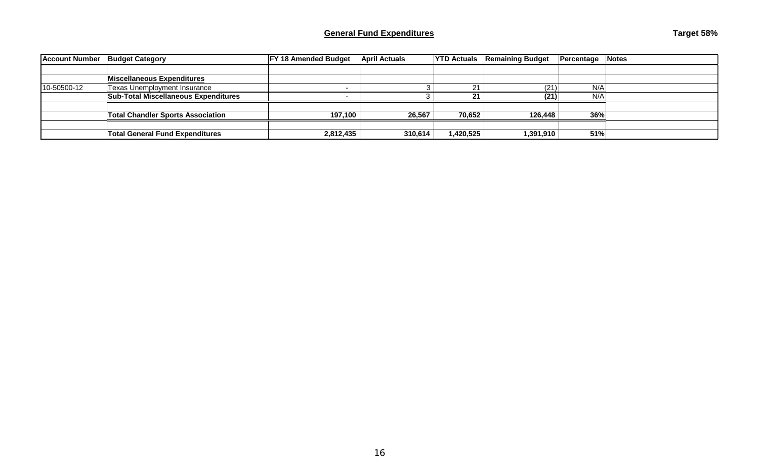| <b>Account Number</b> | <b>Budget Category</b>                      | <b>FY 18 Amended Budget</b> | <b>April Actuals</b> | <b>YTD Actuals</b> | <b>Remaining Budget</b> | Percentage | <b>Notes</b> |
|-----------------------|---------------------------------------------|-----------------------------|----------------------|--------------------|-------------------------|------------|--------------|
|                       |                                             |                             |                      |                    |                         |            |              |
|                       | <b>Miscellaneous Expenditures</b>           |                             |                      |                    |                         |            |              |
| 10-50500-12           | Texas Unemployment Insurance                |                             |                      |                    | (21)                    | N/A        |              |
|                       | <b>Sub-Total Miscellaneous Expenditures</b> |                             |                      |                    | (21)                    | N/A        |              |
|                       |                                             |                             |                      |                    |                         |            |              |
|                       | <b>Total Chandler Sports Association</b>    | 197,100                     | 26,567               | 70,652             | 126.448                 | 36%        |              |
|                       |                                             |                             |                      |                    |                         |            |              |
|                       | Total General Fund Expenditures             | 2,812,435                   | 310,614              | 420,525,۱          | 1,391,910               | 51%        |              |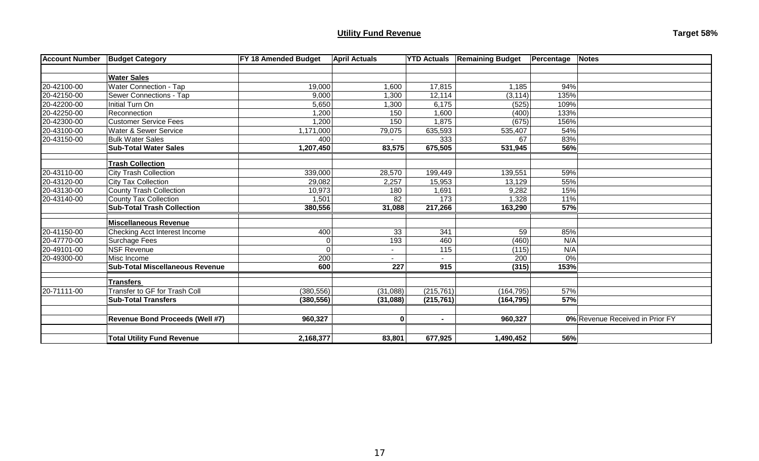# **Utility Fund Revenue Target 58%**

| <b>Account Number</b> | <b>Budget Category</b>                 | <b>FY 18 Amended Budget</b> | <b>April Actuals</b>     |            | <b>YTD Actuals Remaining Budget</b> | Percentage | <b>Notes</b>                    |
|-----------------------|----------------------------------------|-----------------------------|--------------------------|------------|-------------------------------------|------------|---------------------------------|
|                       |                                        |                             |                          |            |                                     |            |                                 |
|                       | <b>Water Sales</b>                     |                             |                          |            |                                     |            |                                 |
| 20-42100-00           | Water Connection - Tap                 | 19,000                      | 1,600                    | 17,815     | 1,185                               | 94%        |                                 |
| 20-42150-00           | Sewer Connections - Tap                | 9,000                       | 1,300                    | 12,114     | (3, 114)                            | 135%       |                                 |
| 20-42200-00           | Initial Turn On                        | 5,650                       | 1,300                    | 6,175      | (525)                               | 109%       |                                 |
| 20-42250-00           | Reconnection                           | 1,200                       | 150                      | 1,600      | (400)                               | 133%       |                                 |
| 20-42300-00           | <b>Customer Service Fees</b>           | 1,200                       | 150                      | 1,875      | (675)                               | 156%       |                                 |
| 20-43100-00           | Water & Sewer Service                  | 1,171,000                   | 79,075                   | 635,593    | 535,407                             | 54%        |                                 |
| 20-43150-00           | <b>Bulk Water Sales</b>                | 400                         |                          | 333        | 67                                  | 83%        |                                 |
|                       | <b>Sub-Total Water Sales</b>           | 1,207,450                   | 83,575                   | 675,505    | 531,945                             | 56%        |                                 |
|                       |                                        |                             |                          |            |                                     |            |                                 |
|                       | <b>Trash Collection</b>                |                             |                          |            |                                     |            |                                 |
| 20-43110-00           | <b>City Trash Collection</b>           | 339,000                     | 28,570                   | 199,449    | 139,551                             | 59%        |                                 |
| 20-43120-00           | City Tax Collection                    | 29,082                      | 2,257                    | 15,953     | 13,129                              | 55%        |                                 |
| 20-43130-00           | <b>County Trash Collection</b>         | 10,973                      | 180                      | 1,691      | 9,282                               | 15%        |                                 |
| 20-43140-00           | <b>County Tax Collection</b>           | 1,501                       | 82                       | 173        | 1,328                               | 11%        |                                 |
|                       | <b>Sub-Total Trash Collection</b>      | 380,556                     | 31,088                   | 217,266    | 163,290                             | 57%        |                                 |
|                       |                                        |                             |                          |            |                                     |            |                                 |
|                       | <b>Miscellaneous Revenue</b>           |                             |                          |            |                                     |            |                                 |
| 20-41150-00           | Checking Acct Interest Income          | 400                         | 33                       | 341        | 59                                  | 85%        |                                 |
| 20-47770-00           | Surchage Fees                          | 0                           | 193                      | 460        | (460)                               | N/A        |                                 |
| 20-49101-00           | <b>NSF Revenue</b>                     | 0                           | $\overline{\phantom{0}}$ | 115        | (115)                               | N/A        |                                 |
| 20-49300-00           | Misc Income                            | 200                         |                          |            | 200                                 | 0%         |                                 |
|                       | <b>Sub-Total Miscellaneous Revenue</b> | 600                         | 227                      | 915        | (315)                               | 153%       |                                 |
|                       | <b>Transfers</b>                       |                             |                          |            |                                     |            |                                 |
| 20-71111-00           | Transfer to GF for Trash Coll          | (380, 556)                  | (31,088)                 | (215, 761) | (164, 795)                          | 57%        |                                 |
|                       | <b>Sub-Total Transfers</b>             | (380, 556)                  | (31,088)                 | (215, 761) | (164, 795)                          | 57%        |                                 |
|                       |                                        |                             |                          |            |                                     |            |                                 |
|                       | <b>Revenue Bond Proceeds (Well #7)</b> | 960,327                     | $\mathbf 0$              | $\sim$     | 960,327                             |            | 0% Revenue Received in Prior FY |
|                       |                                        |                             |                          |            |                                     |            |                                 |
|                       | <b>Total Utility Fund Revenue</b>      | 2,168,377                   | 83,801                   | 677,925    | 1,490,452                           | 56%        |                                 |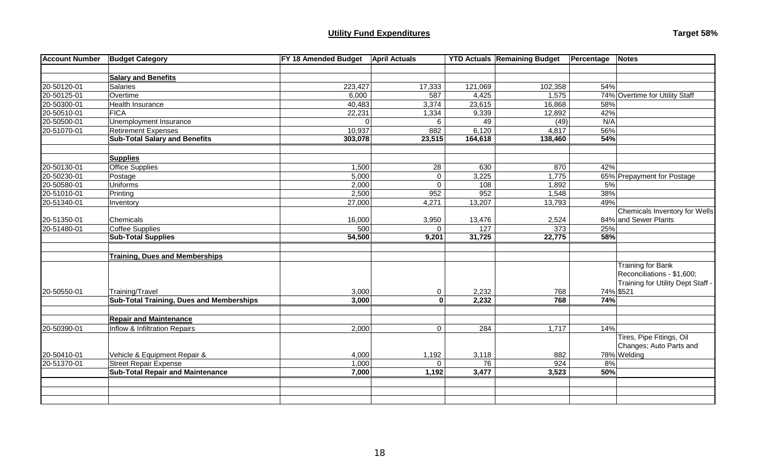# **Utility Fund Expenditures Target 58% Target 58% Target 58% Target 58% Target 58%**

| Target 58% |  |
|------------|--|
|------------|--|

| <b>Account Number</b> | <b>Budget Category</b>                          | FY 18 Amended Budget | <b>April Actuals</b> |         | <b>YTD Actuals Remaining Budget</b> | Percentage | <b>Notes</b>                                                                                |
|-----------------------|-------------------------------------------------|----------------------|----------------------|---------|-------------------------------------|------------|---------------------------------------------------------------------------------------------|
|                       |                                                 |                      |                      |         |                                     |            |                                                                                             |
|                       | <b>Salary and Benefits</b>                      |                      |                      |         |                                     |            |                                                                                             |
| 20-50120-01           | Salaries                                        | 223,427              | 17,333               | 121,069 | 102,358                             | 54%        |                                                                                             |
| 20-50125-01           | Overtime                                        | 6,000                | 587                  | 4,425   | 1,575                               |            | 74% Overtime for Utility Staff                                                              |
| 20-50300-01           | Health Insurance                                | 40,483               | 3,374                | 23,615  | 16,868                              | 58%        |                                                                                             |
| 20-50510-01           | <b>FICA</b>                                     | 22,231               | 1,334                | 9,339   | 12,892                              | 42%        |                                                                                             |
| 20-50500-01           | Unemployment Insurance                          | $\Omega$             | 6                    | 49      | (49)                                | N/A        |                                                                                             |
| 20-51070-01           | <b>Retirement Expenses</b>                      | 10,937               | 882                  | 6,120   | 4,817                               | 56%        |                                                                                             |
|                       | <b>Sub-Total Salary and Benefits</b>            | 303,078              | 23,515               | 164,618 | 138,460                             | 54%        |                                                                                             |
|                       |                                                 |                      |                      |         |                                     |            |                                                                                             |
|                       | <b>Supplies</b>                                 |                      |                      |         |                                     |            |                                                                                             |
| 20-50130-01           | Office Supplies                                 | 1,500                | 28                   | 630     | 870                                 | 42%        |                                                                                             |
| 20-50230-01           | Postage                                         | 5,000                | $\mathbf 0$          | 3,225   | 1,775                               |            | 65% Prepayment for Postage                                                                  |
| 20-50580-01           | Uniforms                                        | 2,000                | $\overline{0}$       | 108     | 1,892                               | 5%         |                                                                                             |
| 20-51010-01           | Printing                                        | 2,500                | 952                  | 952     | 1,548                               | 38%        |                                                                                             |
| 20-51340-01           | Inventory                                       | 27,000               | 4,271                | 13,207  | 13,793                              | 49%        |                                                                                             |
|                       |                                                 |                      |                      |         |                                     |            | Chemicals Inventory for Wells                                                               |
| 20-51350-01           | Chemicals                                       | 16,000               | 3,950                | 13,476  | 2,524                               |            | 84% and Sewer Plants                                                                        |
| 20-51480-01           | Coffee Supplies                                 | 500                  | $\Omega$             | 127     | 373                                 | 25%        |                                                                                             |
|                       | <b>Sub-Total Supplies</b>                       | 54,500               | 9,201                | 31,725  | 22,775                              | 58%        |                                                                                             |
|                       | <b>Training, Dues and Memberships</b>           |                      |                      |         |                                     |            |                                                                                             |
|                       |                                                 |                      |                      |         |                                     |            | <b>Training for Bank</b><br>Reconciliations - \$1,600;<br>Training for Utility Dept Staff - |
| 20-50550-01           | Training/Travel                                 | 3,000                | 0                    | 2,232   | 768                                 |            | 74% \$521                                                                                   |
|                       | <b>Sub-Total Training, Dues and Memberships</b> | 3,000                | $\overline{0}$       | 2,232   | 768                                 | 74%        |                                                                                             |
|                       | <b>Repair and Maintenance</b>                   |                      |                      |         |                                     |            |                                                                                             |
| 20-50390-01           | Inflow & Infiltration Repairs                   | 2,000                | $\overline{0}$       | 284     | 1,717                               | 14%        |                                                                                             |
|                       |                                                 |                      |                      |         |                                     |            | Tires, Pipe Fitings, Oil                                                                    |
|                       |                                                 |                      |                      |         |                                     |            | Changes; Auto Parts and                                                                     |
| 20-50410-01           | Vehicle & Equipment Repair &                    | 4,000                | 1,192                | 3,118   | 882                                 |            | 78% Welding                                                                                 |
| 20-51370-01           | <b>Street Repair Expense</b>                    | 1,000                | $\mathbf 0$          | 76      | 924                                 | 8%         |                                                                                             |
|                       | <b>Sub-Total Repair and Maintenance</b>         | 7,000                | 1,192                | 3,477   | 3,523                               | 50%        |                                                                                             |
|                       |                                                 |                      |                      |         |                                     |            |                                                                                             |
|                       |                                                 |                      |                      |         |                                     |            |                                                                                             |
|                       |                                                 |                      |                      |         |                                     |            |                                                                                             |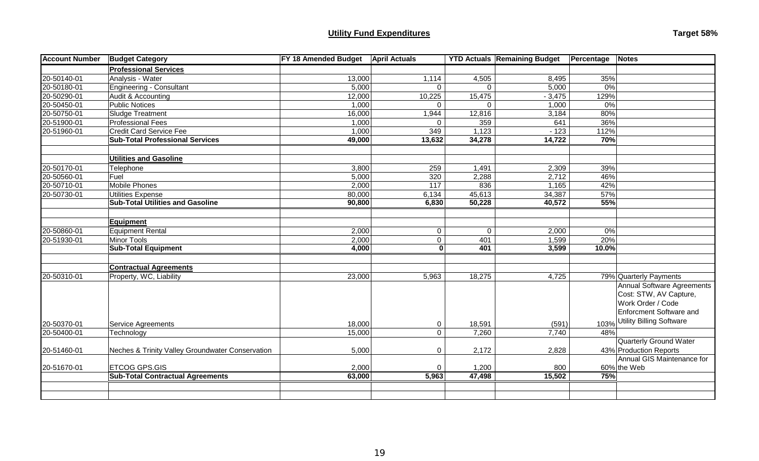### **Utility Fund Expenditures**

| Target 58% |  |
|------------|--|
|------------|--|

| <b>Account Number</b> | <b>Budget Category</b>                           | <b>FY 18 Amended Budget</b> | <b>April Actuals</b> |              | <b>YTD Actuals Remaining Budget</b> | Percentage<br><b>Notes</b>        |
|-----------------------|--------------------------------------------------|-----------------------------|----------------------|--------------|-------------------------------------|-----------------------------------|
|                       | <b>Professional Services</b>                     |                             |                      |              |                                     |                                   |
| 20-50140-01           | Analysis - Water                                 | 13,000                      | 1,114                | 4,505        | 8,495                               | 35%                               |
| 20-50180-01           | Engineering - Consultant                         | 5,000                       | 0                    | $\Omega$     | 5,000                               | 0%                                |
| 20-50290-01           | Audit & Accounting                               | 12,000                      | 10,225               | 15,475       | $-3,475$                            | 129%                              |
| 20-50450-01           | <b>Public Notices</b>                            | 1,000                       | 0                    | $\Omega$     | 1,000                               | 0%                                |
| 20-50750-01           | Sludge Treatment                                 | 16,000                      | 1,944                | 12,816       | 3,184                               | 80%                               |
| 20-51900-01           | <b>Professional Fees</b>                         | 1,000                       | $\Omega$             | 359          | 641                                 | 36%                               |
| 20-51960-01           | <b>Credit Card Service Fee</b>                   | 1,000                       | 349                  | 1,123        | $-123$                              | 112%                              |
|                       | <b>Sub-Total Professional Services</b>           | 49,000                      | 13,632               | 34,278       | 14,722                              | 70%                               |
|                       |                                                  |                             |                      |              |                                     |                                   |
|                       | <b>Utilities and Gasoline</b>                    |                             |                      |              |                                     |                                   |
| 20-50170-01           | Telephone                                        | 3,800                       | 259                  | 1,491        | 2,309                               | 39%                               |
| 20-50560-01           | Fuel                                             | 5,000                       | 320                  | 2,288        | 2,712                               | 46%                               |
| 20-50710-01           | Mobile Phones                                    | 2,000                       | 117                  | 836          | 1,165                               | 42%                               |
| 20-50730-01           | Utilities Expense                                | 80,000                      | 6,134                | 45,613       | 34,387                              | 57%                               |
|                       | <b>Sub-Total Utilities and Gasoline</b>          | 90,800                      | 6,830                | 50,228       | 40,572                              | 55%                               |
|                       |                                                  |                             |                      |              |                                     |                                   |
|                       | Equipment                                        |                             |                      |              |                                     |                                   |
| 20-50860-01           | Equipment Rental                                 | 2,000                       | $\overline{0}$       | $\mathbf{0}$ | 2,000                               | 0%                                |
| 20-51930-01           | Minor Tools                                      | 2,000                       | $\mathbf 0$          | 401          | 1,599                               | 20%                               |
|                       | <b>Sub-Total Equipment</b>                       | 4,000                       | 0                    | 401          | 3,599                               | 10.0%                             |
|                       |                                                  |                             |                      |              |                                     |                                   |
|                       | <b>Contractual Agreements</b>                    |                             |                      |              |                                     |                                   |
| 20-50310-01           | Property, WC, Liability                          | 23,000                      | 5,963                | 18,275       | 4,725                               | 79% Quarterly Payments            |
|                       |                                                  |                             |                      |              |                                     | <b>Annual Software Agreements</b> |
|                       |                                                  |                             |                      |              |                                     | Cost: STW, AV Capture,            |
|                       |                                                  |                             |                      |              |                                     | Work Order / Code                 |
|                       |                                                  |                             |                      |              |                                     | <b>Enforcment Software and</b>    |
| 20-50370-01           | Service Agreements                               | 18,000                      | 0                    | 18,591       | (591)                               | 103% Utility Billing Software     |
| 20-50400-01           | Technology                                       | 15,000                      | $\overline{0}$       | 7,260        | 7,740                               | 48%                               |
|                       |                                                  |                             |                      |              |                                     | <b>Quarterly Ground Water</b>     |
| 20-51460-01           | Neches & Trinity Valley Groundwater Conservation | 5,000                       | 0                    | 2,172        | 2,828                               | 43% Production Reports            |
|                       |                                                  |                             |                      |              |                                     | Annual GIS Maintenance for        |
| 20-51670-01           | <b>ETCOG GPS.GIS</b>                             | 2,000                       | 0                    | 1,200        | 800                                 | 60% the Web                       |
|                       | <b>Sub-Total Contractual Agreements</b>          | 63,000                      | 5,963                | 47,498       | 15,502                              | 75%                               |
|                       |                                                  |                             |                      |              |                                     |                                   |
|                       |                                                  |                             |                      |              |                                     |                                   |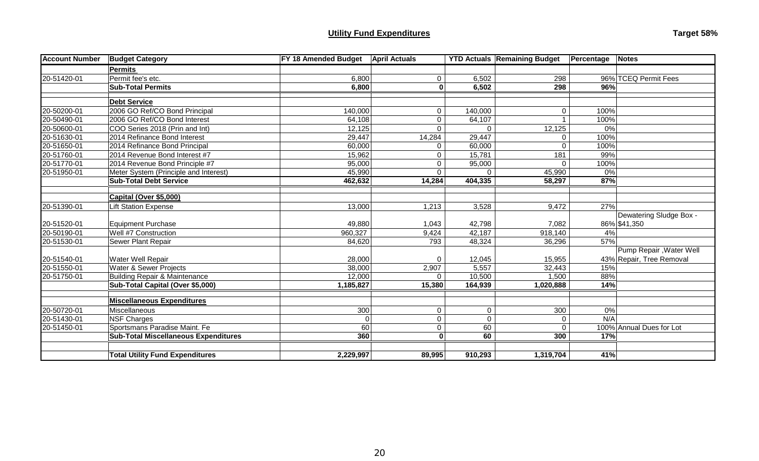### **Utility Fund Expenditures**

| Target 58% |  |
|------------|--|
|------------|--|

| <b>Account Number</b> | <b>Budget Category</b>                      | FY 18 Amended Budget | <b>April Actuals</b> |             | <b>YTD Actuals Remaining Budget</b> | Percentage<br><b>Notes</b> |
|-----------------------|---------------------------------------------|----------------------|----------------------|-------------|-------------------------------------|----------------------------|
|                       | Permits                                     |                      |                      |             |                                     |                            |
| 20-51420-01           | Permit fee's etc.                           | 6,800                | 0                    | 6,502       | 298                                 | 96% TCEQ Permit Fees       |
|                       | <b>Sub-Total Permits</b>                    | 6,800                | 0                    | 6,502       | 298                                 | 96%                        |
|                       | <b>Debt Service</b>                         |                      |                      |             |                                     |                            |
| 20-50200-01           | 2006 GO Ref/CO Bond Principal               | 140,000              | 0                    | 140,000     | 0                                   | 100%                       |
| 20-50490-01           | 2006 GO Ref/CO Bond Interest                | 64,108               | $\mathbf 0$          | 64,107      |                                     | 100%                       |
| 20-50600-01           | COO Series 2018 (Prin and Int)              | 12,125               | $\Omega$             | $\Omega$    | 12,125                              | 0%                         |
| 20-51630-01           | 2014 Refinance Bond Interest                | 29,447               | 14,284               | 29,447      | $\Omega$                            | 100%                       |
| 20-51650-01           | 2014 Refinance Bond Principal               | 60,000               | $\mathbf 0$          | 60,000      | $\Omega$                            | 100%                       |
| 20-51760-01           | 2014 Revenue Bond Interest #7               | 15,962               | $\mathbf 0$          | 15,781      | 181                                 | 99%                        |
| 20-51770-01           | 2014 Revenue Bond Principle #7              | 95,000               | $\mathbf 0$          | 95,000      | 0                                   | 100%                       |
| 20-51950-01           | Meter System (Principle and Interest)       | 45,990               | $\Omega$             |             | 45,990                              | 0%                         |
|                       | <b>Sub-Total Debt Service</b>               | 462,632              | 14,284               | 404,335     | 58,297                              | 87%                        |
|                       | Capital (Over \$5,000)                      |                      |                      |             |                                     |                            |
| 20-51390-01           | <b>Lift Station Expense</b>                 | 13,000               | 1,213                | 3,528       | 9,472                               | 27%                        |
|                       |                                             |                      |                      |             |                                     | Dewatering Sludge Box -    |
| 20-51520-01           | Equipment Purchase                          | 49,880               | 1,043                | 42,798      | 7,082                               | 86% \$41,350               |
| 20-50190-01           | Well #7 Construction                        | 960,327              | 9,424                | 42,187      | 918,140                             | 4%                         |
| 20-51530-01           | Sewer Plant Repair                          | 84,620               | 793                  | 48,324      | 36,296                              | 57%                        |
|                       |                                             |                      |                      |             |                                     | Pump Repair, Water Well    |
| 20-51540-01           | Water Well Repair                           | 28,000               | 0                    | 12,045      | 15,955                              | 43% Repair, Tree Removal   |
| 20-51550-01           | <b>Water &amp; Sewer Projects</b>           | 38,000               | 2,907                | 5,557       | 32,443                              | 15%                        |
| 20-51750-01           | Building Repair & Maintenance               | 12,000               | $\Omega$             | 10,500      | 1,500                               | 88%                        |
|                       | Sub-Total Capital (Over \$5,000)            | 1,185,827            | 15,380               | 164,939     | 1,020,888                           | 14%                        |
|                       | Miscellaneous Expenditures                  |                      |                      |             |                                     |                            |
| 20-50720-01           | Miscellaneous                               | 300                  | $\mathbf 0$          | $\pmb{0}$   | 300                                 | 0%                         |
| 20-51430-01           | NSF Charges                                 | $\overline{0}$       | $\mathbf 0$          | $\mathbf 0$ | 0                                   | N/A                        |
| 20-51450-01           | Sportsmans Paradise Maint. Fe               | 60                   | $\overline{0}$       | 60          | $\Omega$                            | 100% Annual Dues for Lot   |
|                       | <b>Sub-Total Miscellaneous Expenditures</b> | 360                  | 0                    | 60          | 300                                 | 17%                        |
|                       |                                             |                      |                      |             |                                     |                            |
|                       | <b>Total Utility Fund Expenditures</b>      | 2,229,997            | 89,995               | 910,293     | 1,319,704                           | 41%                        |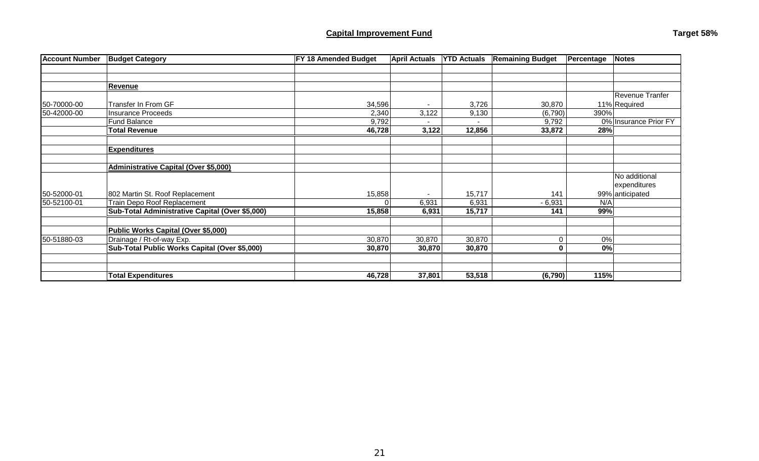| <b>Account Number</b> | <b>Budget Category</b>                          | FY 18 Amended Budget | <b>April Actuals</b> | <b>YTD Actuals</b> | <b>Remaining Budget</b> | Percentage | <b>Notes</b>          |
|-----------------------|-------------------------------------------------|----------------------|----------------------|--------------------|-------------------------|------------|-----------------------|
|                       |                                                 |                      |                      |                    |                         |            |                       |
|                       |                                                 |                      |                      |                    |                         |            |                       |
|                       | <b>Revenue</b>                                  |                      |                      |                    |                         |            |                       |
|                       |                                                 |                      |                      |                    |                         |            | Revenue Tranfer       |
| 50-70000-00           | Transfer In From GF                             | 34,596               | $\blacksquare$       | 3,726              | 30,870                  |            | 11% Required          |
| 50-42000-00           | Insurance Proceeds                              | 2,340                | 3,122                | 9,130              | (6,790)                 | 390%       |                       |
|                       | <b>Fund Balance</b>                             | 9,792                |                      |                    | 9,792                   |            | 0% Insurance Prior FY |
|                       | <b>Total Revenue</b>                            | 46,728               | 3,122                | 12,856             | 33,872                  | 28%        |                       |
|                       |                                                 |                      |                      |                    |                         |            |                       |
|                       | <b>Expenditures</b>                             |                      |                      |                    |                         |            |                       |
|                       |                                                 |                      |                      |                    |                         |            |                       |
|                       | <b>Administrative Capital (Over \$5,000)</b>    |                      |                      |                    |                         |            |                       |
|                       |                                                 |                      |                      |                    |                         |            | No additional         |
|                       |                                                 |                      |                      |                    |                         |            | expenditures          |
| 50-52000-01           | 802 Martin St. Roof Replacement                 | 15,858               |                      | 15,717             | 141                     |            | 99% anticipated       |
| 50-52100-01           | Train Depo Roof Replacement                     |                      | 6,931                | 6,931              | $-6,931$                | N/A        |                       |
|                       | Sub-Total Administrative Capital (Over \$5,000) | 15,858               | 6,931                | 15,717             | 141                     | 99%        |                       |
|                       |                                                 |                      |                      |                    |                         |            |                       |
|                       | Public Works Capital (Over \$5,000)             |                      |                      |                    |                         |            |                       |
| 50-51880-03           | Drainage / Rt-of-way Exp.                       | 30,870               | 30,870               | 30,870             | $\Omega$                | 0%         |                       |
|                       | Sub-Total Public Works Capital (Over \$5,000)   | 30,870               | 30,870               | 30,870             | 0                       | 0%         |                       |
|                       |                                                 |                      |                      |                    |                         |            |                       |
|                       |                                                 |                      |                      |                    |                         |            |                       |
|                       | <b>Total Expenditures</b>                       | 46,728               | 37,801               | 53,518             | (6,790)                 | 115%       |                       |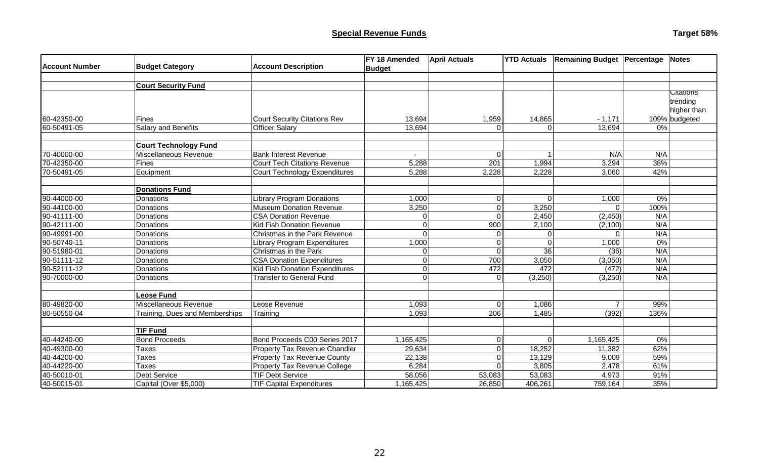| <b>Account Number</b> | <b>Budget Category</b>         | <b>Account Description</b>           | FY 18 Amended  | <b>April Actuals</b> | <b>YTD Actuals</b> | <b>Remaining Budget Percentage</b> |       | <b>Notes</b>                                |
|-----------------------|--------------------------------|--------------------------------------|----------------|----------------------|--------------------|------------------------------------|-------|---------------------------------------------|
|                       |                                |                                      | <b>Budget</b>  |                      |                    |                                    |       |                                             |
|                       | <b>Court Security Fund</b>     |                                      |                |                      |                    |                                    |       |                                             |
|                       |                                |                                      |                |                      |                    |                                    |       | <b>Citations</b><br>trending<br>higher than |
| 60-42350-00           | <b>Fines</b>                   | <b>Court Security Citations Rev</b>  | 13,694         | 1,959                | 14,865             | $-1,171$                           |       | 109% budgeted                               |
| 60-50491-05           | <b>Salary and Benefits</b>     | <b>Officer Salary</b>                | 13,694         | 0                    | $\Omega$           | 13,694                             | 0%    |                                             |
|                       | <b>Court Technology Fund</b>   |                                      |                |                      |                    |                                    |       |                                             |
| 70-40000-00           | Miscellaneous Revenue          | <b>Bank Interest Revenue</b>         | $\blacksquare$ | $\Omega$             |                    | N/A                                | N/A   |                                             |
| 70-42350-00           | <b>Fines</b>                   | <b>Court Tech Citations Revenue</b>  | 5,288          | 201                  | 1,994              | 3,294                              | 38%   |                                             |
| 70-50491-05           | Equipment                      | Court Technology Expenditures        | 5,288          | 2,228                | 2,228              | 3,060                              | 42%   |                                             |
|                       | <b>Donations Fund</b>          |                                      |                |                      |                    |                                    |       |                                             |
| 90-44000-00           | Donations                      | <b>Library Program Donations</b>     | 1,000          | 0                    | $\Omega$           | 1,000                              | 0%    |                                             |
| 90-44100-00           | Donations                      | Museum Donation Revenue              | 3,250          | 0                    | 3,250              | $\Omega$                           | 100%  |                                             |
| 90-41111-00           | Donations                      | <b>CSA Donation Revenue</b>          | $\Omega$       | $\overline{0}$       | 2,450              | (2, 450)                           | N/A   |                                             |
| 90-42111-00           | Donations                      | Kid Fish Donation Revenue            | $\overline{0}$ | 900                  | 2,100              | (2,100)                            | N/A   |                                             |
| 90-49991-00           | Donations                      | <b>Christmas in the Park Revenue</b> | $\Omega$       | $\mathbf 0$          |                    | $\Omega$                           | N/A   |                                             |
| 90-50740-11           | Donations                      | Library Program Expenditures         | 1,000          | $\mathbf 0$          |                    | 1,000                              | $0\%$ |                                             |
| 90-51980-01           | Donations                      | Christmas in the Park                | $\Omega$       | 0                    | $\overline{36}$    | (36)                               | N/A   |                                             |
| 90-51111-12           | Donations                      | <b>CSA Donation Expenditures</b>     | $\Omega$       | 700                  | 3,050              | (3,050)                            | N/A   |                                             |
| 90-52111-12           | Donations                      | Kid Fish Donation Expenditures       | $\overline{0}$ | 472                  | 472                | (472)                              | N/A   |                                             |
| 90-70000-00           | Donations                      | <b>Transfer to General Fund</b>      | $\Omega$       | $\Omega$             | (3,250)            | (3,250)                            | N/A   |                                             |
|                       | Leose Fund                     |                                      |                |                      |                    |                                    |       |                                             |
| 80-49820-00           | Miscellaneous Revenue          | Leose Revenue                        | 1,093          | 0                    | 1,086              | $\overline{7}$                     | 99%   |                                             |
| 80-50550-04           | Training, Dues and Memberships | Training                             | 1,093          | 206                  | 1,485              | (392)                              | 136%  |                                             |
|                       | <b>TIF Fund</b>                |                                      |                |                      |                    |                                    |       |                                             |
| 40-44240-00           | <b>Bond Proceeds</b>           | Bond Proceeds C00 Series 2017        | 1,165,425      | $\overline{0}$       | 0                  | 1,165,425                          | 0%    |                                             |
| 40-49300-00           | <b>Taxes</b>                   | Property Tax Revenue Chandler        | 29,634         | $\overline{0}$       | 18,252             | 11,382                             | 62%   |                                             |
| 40-44200-00           | Taxes                          | <b>Property Tax Revenue County</b>   | 22,138         | $\overline{0}$       | 13,129             | 9,009                              | 59%   |                                             |
| 40-44220-00           | <b>Taxes</b>                   | <b>Property Tax Revenue College</b>  | 6,284          | $\Omega$             | 3,805              | 2,478                              | 61%   |                                             |
| 40-50010-01           | <b>Debt Service</b>            | <b>TIF Debt Service</b>              | 58,056         | 53,083               | 53,083             | 4,973                              | 91%   |                                             |
| 40-50015-01           | Capital (Over \$5,000)         | <b>TIF Capital Expenditures</b>      | 1,165,425      | 26,850               | 406,261            | 759,164                            | 35%   |                                             |